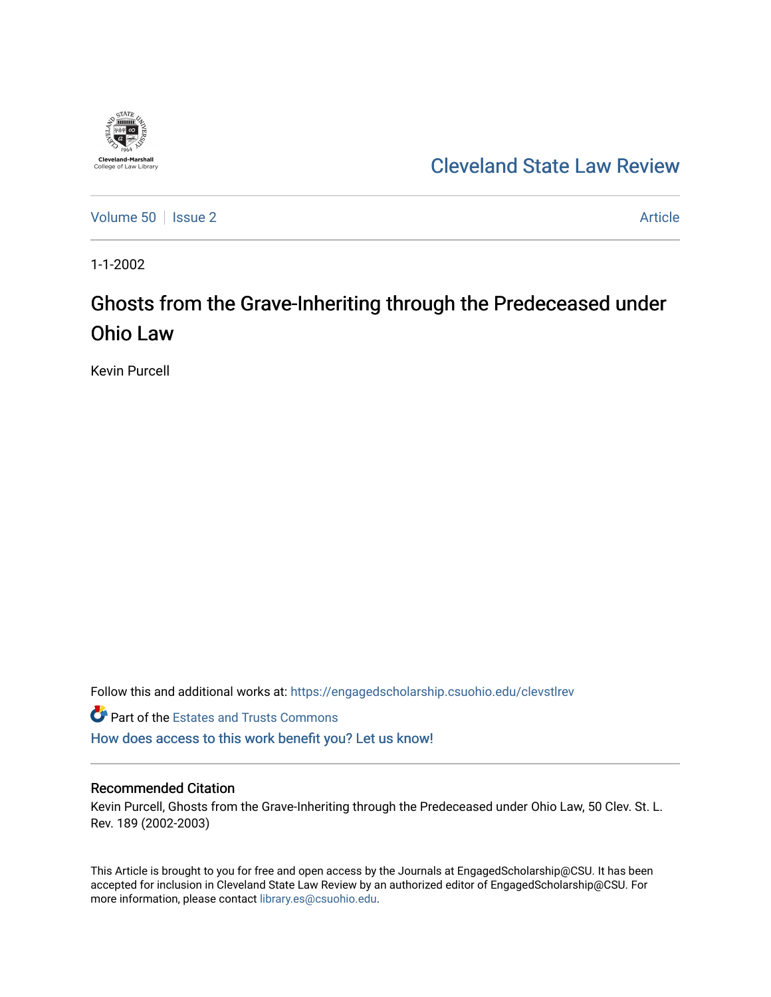

# [Cleveland State Law Review](https://engagedscholarship.csuohio.edu/clevstlrev)

[Volume 50](https://engagedscholarship.csuohio.edu/clevstlrev/vol50) | [Issue 2](https://engagedscholarship.csuohio.edu/clevstlrev/vol50/iss2) Article

1-1-2002

# Ghosts from the Grave-Inheriting through the Predeceased under Ohio Law

Kevin Purcell

Follow this and additional works at: [https://engagedscholarship.csuohio.edu/clevstlrev](https://engagedscholarship.csuohio.edu/clevstlrev?utm_source=engagedscholarship.csuohio.edu%2Fclevstlrev%2Fvol50%2Fiss2%2F4&utm_medium=PDF&utm_campaign=PDFCoverPages)

**Part of the Estates and Trusts Commons** [How does access to this work benefit you? Let us know!](http://library.csuohio.edu/engaged/)

## Recommended Citation

Kevin Purcell, Ghosts from the Grave-Inheriting through the Predeceased under Ohio Law, 50 Clev. St. L. Rev. 189 (2002-2003)

This Article is brought to you for free and open access by the Journals at EngagedScholarship@CSU. It has been accepted for inclusion in Cleveland State Law Review by an authorized editor of EngagedScholarship@CSU. For more information, please contact [library.es@csuohio.edu](mailto:library.es@csuohio.edu).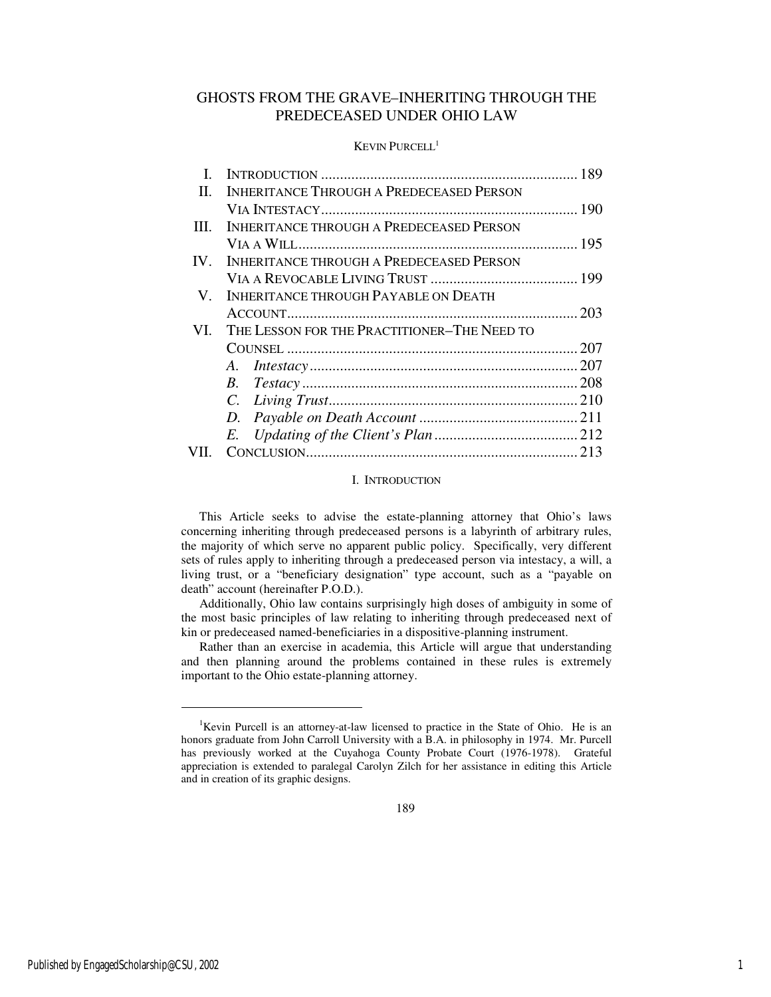## GHOSTS FROM THE GRAVE–INHERITING THROUGH THE PREDECEASED UNDER OHIO LAW

### KEVIN PURCELL<sup>1</sup>

| L        |                                                 | 189   |
|----------|-------------------------------------------------|-------|
| $\Pi$ .  | <b>INHERITANCE THROUGH A PREDECEASED PERSON</b> |       |
|          |                                                 |       |
| III.     | <b>INHERITANCE THROUGH A PREDECEASED PERSON</b> |       |
|          |                                                 |       |
| $IV_{-}$ | <b>INHERITANCE THROUGH A PREDECEASED PERSON</b> |       |
|          |                                                 |       |
| V.       | <b>INHERITANCE THROUGH PAYABLE ON DEATH</b>     |       |
|          |                                                 | . 203 |
| VI.      | THE LESSON FOR THE PRACTITIONER-THE NEED TO     |       |
|          |                                                 | . 207 |
|          |                                                 |       |
|          |                                                 |       |
|          |                                                 |       |
|          |                                                 |       |
|          | E.                                              |       |
|          |                                                 |       |

#### I. INTRODUCTION

This Article seeks to advise the estate-planning attorney that Ohio's laws concerning inheriting through predeceased persons is a labyrinth of arbitrary rules, the majority of which serve no apparent public policy. Specifically, very different sets of rules apply to inheriting through a predeceased person via intestacy, a will, a living trust, or a "beneficiary designation" type account, such as a "payable on death" account (hereinafter P.O.D.).

Additionally, Ohio law contains surprisingly high doses of ambiguity in some of the most basic principles of law relating to inheriting through predeceased next of kin or predeceased named-beneficiaries in a dispositive-planning instrument.

Rather than an exercise in academia, this Article will argue that understanding and then planning around the problems contained in these rules is extremely important to the Ohio estate-planning attorney.

j

<sup>&</sup>lt;sup>1</sup>Kevin Purcell is an attorney-at-law licensed to practice in the State of Ohio. He is an honors graduate from John Carroll University with a B.A. in philosophy in 1974. Mr. Purcell has previously worked at the Cuyahoga County Probate Court (1976-1978). Grateful appreciation is extended to paralegal Carolyn Zilch for her assistance in editing this Article and in creation of its graphic designs.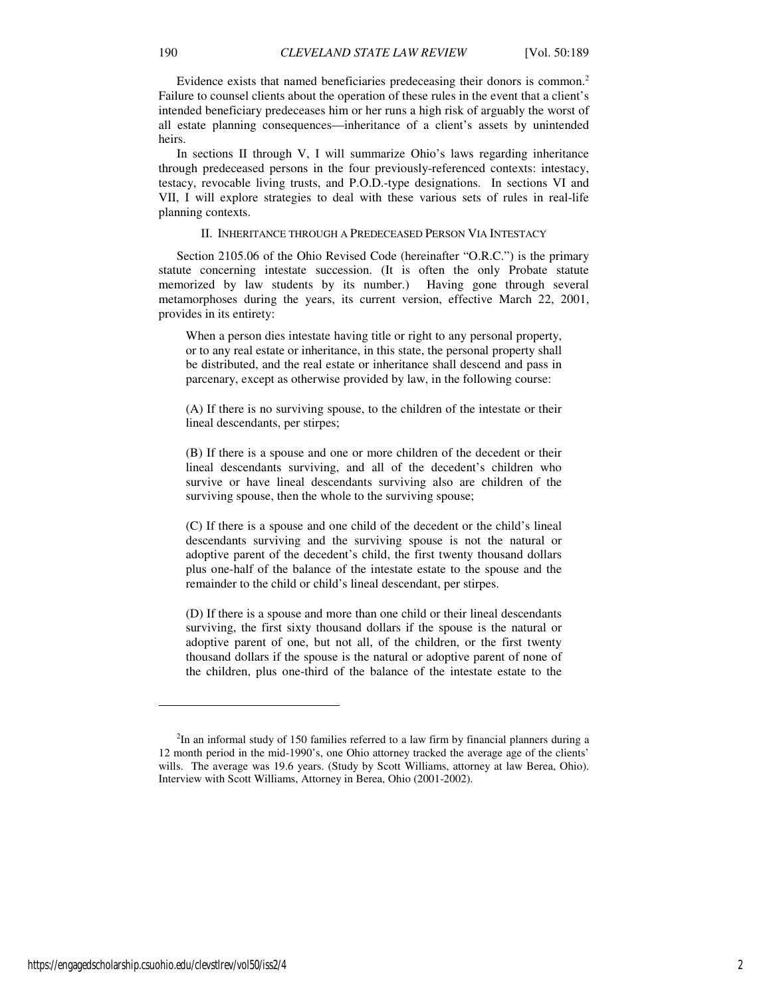Evidence exists that named beneficiaries predeceasing their donors is common.<sup>2</sup> Failure to counsel clients about the operation of these rules in the event that a client's intended beneficiary predeceases him or her runs a high risk of arguably the worst of all estate planning consequences—inheritance of a client's assets by unintended heirs.

In sections II through V, I will summarize Ohio's laws regarding inheritance through predeceased persons in the four previously-referenced contexts: intestacy, testacy, revocable living trusts, and P.O.D.-type designations. In sections VI and VII, I will explore strategies to deal with these various sets of rules in real-life planning contexts.

#### II. INHERITANCE THROUGH A PREDECEASED PERSON VIA INTESTACY

Section 2105.06 of the Ohio Revised Code (hereinafter "O.R.C.") is the primary statute concerning intestate succession. (It is often the only Probate statute memorized by law students by its number.) Having gone through several metamorphoses during the years, its current version, effective March 22, 2001, provides in its entirety:

When a person dies intestate having title or right to any personal property, or to any real estate or inheritance, in this state, the personal property shall be distributed, and the real estate or inheritance shall descend and pass in parcenary, except as otherwise provided by law, in the following course:

(A) If there is no surviving spouse, to the children of the intestate or their lineal descendants, per stirpes;

(B) If there is a spouse and one or more children of the decedent or their lineal descendants surviving, and all of the decedent's children who survive or have lineal descendants surviving also are children of the surviving spouse, then the whole to the surviving spouse;

(C) If there is a spouse and one child of the decedent or the child's lineal descendants surviving and the surviving spouse is not the natural or adoptive parent of the decedent's child, the first twenty thousand dollars plus one-half of the balance of the intestate estate to the spouse and the remainder to the child or child's lineal descendant, per stirpes.

(D) If there is a spouse and more than one child or their lineal descendants surviving, the first sixty thousand dollars if the spouse is the natural or adoptive parent of one, but not all, of the children, or the first twenty thousand dollars if the spouse is the natural or adoptive parent of none of the children, plus one-third of the balance of the intestate estate to the

https://engagedscholarship.csuohio.edu/clevstlrev/vol50/iss2/4 2

 $2$ In an informal study of 150 families referred to a law firm by financial planners during a 12 month period in the mid-1990's, one Ohio attorney tracked the average age of the clients' wills. The average was 19.6 years. (Study by Scott Williams, attorney at law Berea, Ohio). Interview with Scott Williams, Attorney in Berea, Ohio (2001-2002).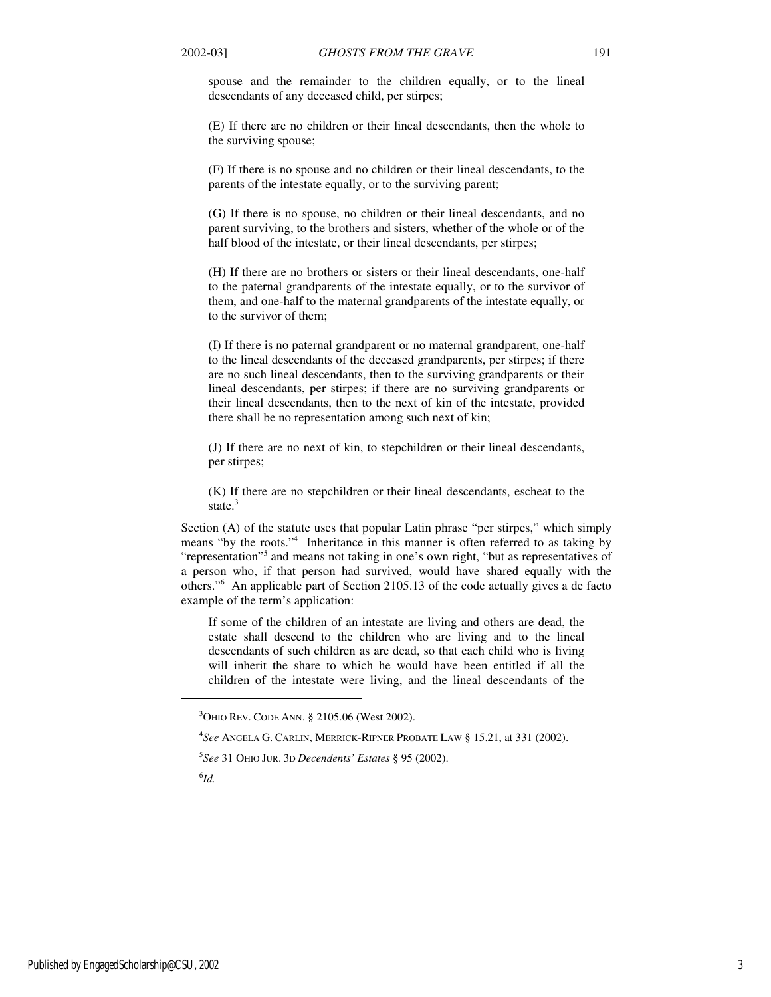spouse and the remainder to the children equally, or to the lineal descendants of any deceased child, per stirpes;

(E) If there are no children or their lineal descendants, then the whole to the surviving spouse;

(F) If there is no spouse and no children or their lineal descendants, to the parents of the intestate equally, or to the surviving parent;

(G) If there is no spouse, no children or their lineal descendants, and no parent surviving, to the brothers and sisters, whether of the whole or of the half blood of the intestate, or their lineal descendants, per stirpes;

(H) If there are no brothers or sisters or their lineal descendants, one-half to the paternal grandparents of the intestate equally, or to the survivor of them, and one-half to the maternal grandparents of the intestate equally, or to the survivor of them;

(I) If there is no paternal grandparent or no maternal grandparent, one-half to the lineal descendants of the deceased grandparents, per stirpes; if there are no such lineal descendants, then to the surviving grandparents or their lineal descendants, per stirpes; if there are no surviving grandparents or their lineal descendants, then to the next of kin of the intestate, provided there shall be no representation among such next of kin;

(J) If there are no next of kin, to stepchildren or their lineal descendants, per stirpes;

(K) If there are no stepchildren or their lineal descendants, escheat to the state.<sup>3</sup>

Section (A) of the statute uses that popular Latin phrase "per stirpes," which simply means "by the roots."<sup>4</sup> Inheritance in this manner is often referred to as taking by "representation"<sup>5</sup> and means not taking in one's own right, "but as representatives of a person who, if that person had survived, would have shared equally with the others."<sup>6</sup> An applicable part of Section 2105.13 of the code actually gives a de facto example of the term's application:

If some of the children of an intestate are living and others are dead, the estate shall descend to the children who are living and to the lineal descendants of such children as are dead, so that each child who is living will inherit the share to which he would have been entitled if all the children of the intestate were living, and the lineal descendants of the

5 *See* 31 OHIO JUR. 3D *Decendents' Estates* § 95 (2002).

6 *Id.* 

 $3$ OHIO REV. CODE ANN. § 2105.06 (West 2002).

<sup>4</sup> *See* ANGELA G. CARLIN, MERRICK-RIPNER PROBATE LAW § 15.21, at 331 (2002).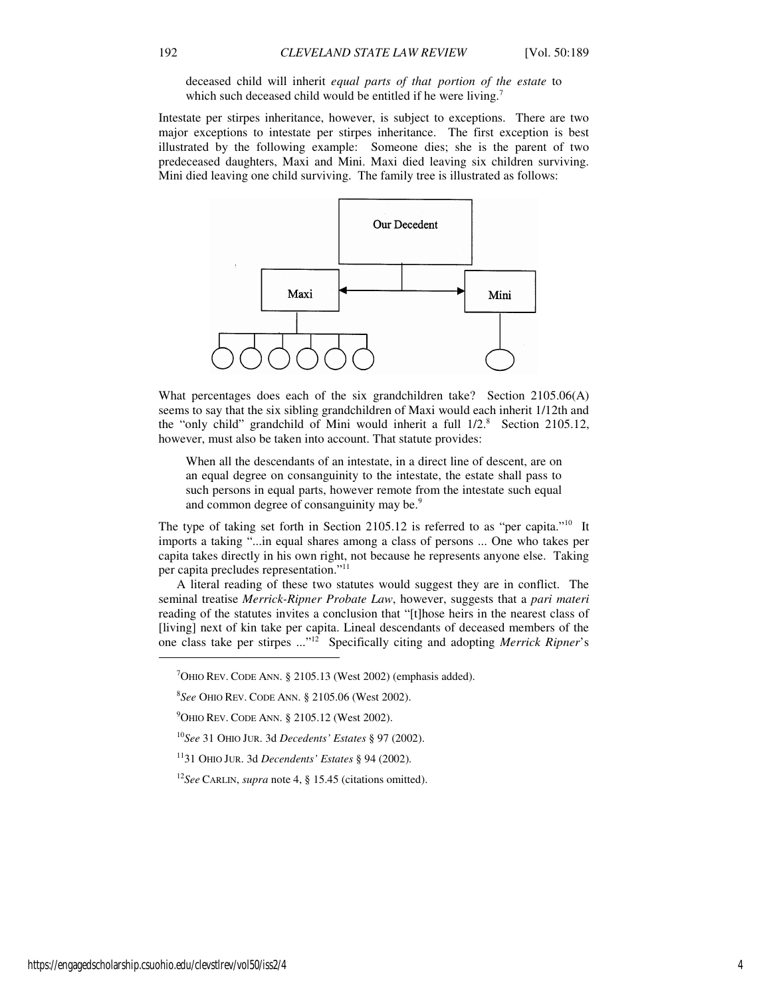deceased child will inherit *equal parts of that portion of the estate* to which such deceased child would be entitled if he were living.<sup>7</sup>

Intestate per stirpes inheritance, however, is subject to exceptions. There are two major exceptions to intestate per stirpes inheritance. The first exception is best illustrated by the following example: Someone dies; she is the parent of two predeceased daughters, Maxi and Mini. Maxi died leaving six children surviving. Mini died leaving one child surviving. The family tree is illustrated as follows:



What percentages does each of the six grandchildren take? Section 2105.06(A) seems to say that the six sibling grandchildren of Maxi would each inherit 1/12th and the "only child" grandchild of Mini would inherit a full  $1/2$ .<sup>8</sup> Section 2105.12, however, must also be taken into account. That statute provides:

When all the descendants of an intestate, in a direct line of descent, are on an equal degree on consanguinity to the intestate, the estate shall pass to such persons in equal parts, however remote from the intestate such equal and common degree of consanguinity may be.<sup>9</sup>

The type of taking set forth in Section 2105.12 is referred to as "per capita."<sup>10</sup> It imports a taking "...in equal shares among a class of persons ... One who takes per capita takes directly in his own right, not because he represents anyone else. Taking per capita precludes representation."<sup>11</sup>

A literal reading of these two statutes would suggest they are in conflict. The seminal treatise *Merrick-Ripner Probate Law*, however, suggests that a *pari materi* reading of the statutes invites a conclusion that "[t]hose heirs in the nearest class of [living] next of kin take per capita. Lineal descendants of deceased members of the one class take per stirpes ..."<sup>12</sup> Specifically citing and adopting *Merrick Ripner*'s

 $\overline{a}$ 

 $7$ OHIO REV. CODE ANN. § 2105.13 (West 2002) (emphasis added).

<sup>8</sup> *See* OHIO REV. CODE ANN. § 2105.06 (West 2002).

 $9$ OHIO REV. CODE ANN. § 2105.12 (West 2002).

<sup>10</sup>*See* 31 OHIO JUR. 3d *Decedents' Estates* § 97 (2002).

<sup>11</sup>31 OHIO JUR. 3d *Decendents' Estates* § 94 (2002).

<sup>12</sup>*See* CARLIN, *supra* note 4, § 15.45 (citations omitted).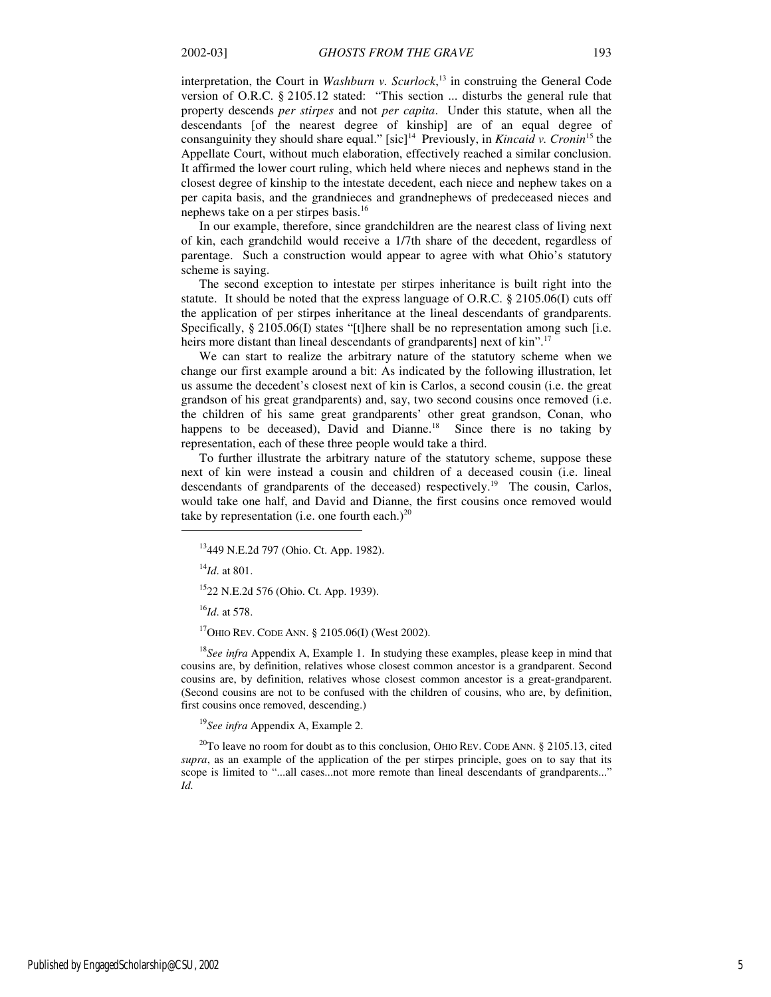interpretation, the Court in *Washburn v. Scurlock*, <sup>13</sup> in construing the General Code version of O.R.C. § 2105.12 stated: "This section ... disturbs the general rule that property descends *per stirpes* and not *per capita*. Under this statute, when all the descendants [of the nearest degree of kinship] are of an equal degree of consanguinity they should share equal." [sic]<sup>14</sup> Previously, in *Kincaid v. Cronin*<sup>15</sup> the Appellate Court, without much elaboration, effectively reached a similar conclusion. It affirmed the lower court ruling, which held where nieces and nephews stand in the closest degree of kinship to the intestate decedent, each niece and nephew takes on a per capita basis, and the grandnieces and grandnephews of predeceased nieces and nephews take on a per stirpes basis.<sup>16</sup>

In our example, therefore, since grandchildren are the nearest class of living next of kin, each grandchild would receive a 1/7th share of the decedent, regardless of parentage. Such a construction would appear to agree with what Ohio's statutory scheme is saying.

The second exception to intestate per stirpes inheritance is built right into the statute. It should be noted that the express language of O.R.C. § 2105.06(I) cuts off the application of per stirpes inheritance at the lineal descendants of grandparents. Specifically, § 2105.06(I) states "[t]here shall be no representation among such [i.e. heirs more distant than lineal descendants of grandparents] next of kin".<sup>17</sup>

We can start to realize the arbitrary nature of the statutory scheme when we change our first example around a bit: As indicated by the following illustration, let us assume the decedent's closest next of kin is Carlos, a second cousin (i.e. the great grandson of his great grandparents) and, say, two second cousins once removed (i.e. the children of his same great grandparents' other great grandson, Conan, who happens to be deceased), David and Dianne.<sup>18</sup> Since there is no taking by representation, each of these three people would take a third.

To further illustrate the arbitrary nature of the statutory scheme, suppose these next of kin were instead a cousin and children of a deceased cousin (i.e. lineal descendants of grandparents of the deceased) respectively.<sup>19</sup> The cousin, Carlos, would take one half, and David and Dianne, the first cousins once removed would take by representation (i.e. one fourth each.)<sup>20</sup>

<sup>14</sup>*Id*. at 801.

1

<sup>15</sup>22 N.E.2d 576 (Ohio. Ct. App. 1939).

<sup>16</sup>*Id*. at 578.

 $17$ OHIO REV. CODE ANN. § 2105.06(I) (West 2002).

<sup>18</sup>See infra Appendix A, Example 1. In studying these examples, please keep in mind that cousins are, by definition, relatives whose closest common ancestor is a grandparent. Second cousins are, by definition, relatives whose closest common ancestor is a great-grandparent. (Second cousins are not to be confused with the children of cousins, who are, by definition, first cousins once removed, descending.)

<sup>19</sup>*See infra* Appendix A, Example 2.

 $20$ To leave no room for doubt as to this conclusion, OHIO REV. CODE ANN. § 2105.13, cited *supra*, as an example of the application of the per stirpes principle, goes on to say that its scope is limited to "...all cases...not more remote than lineal descendants of grandparents..." *Id.*

<sup>13</sup>449 N.E.2d 797 (Ohio. Ct. App. 1982).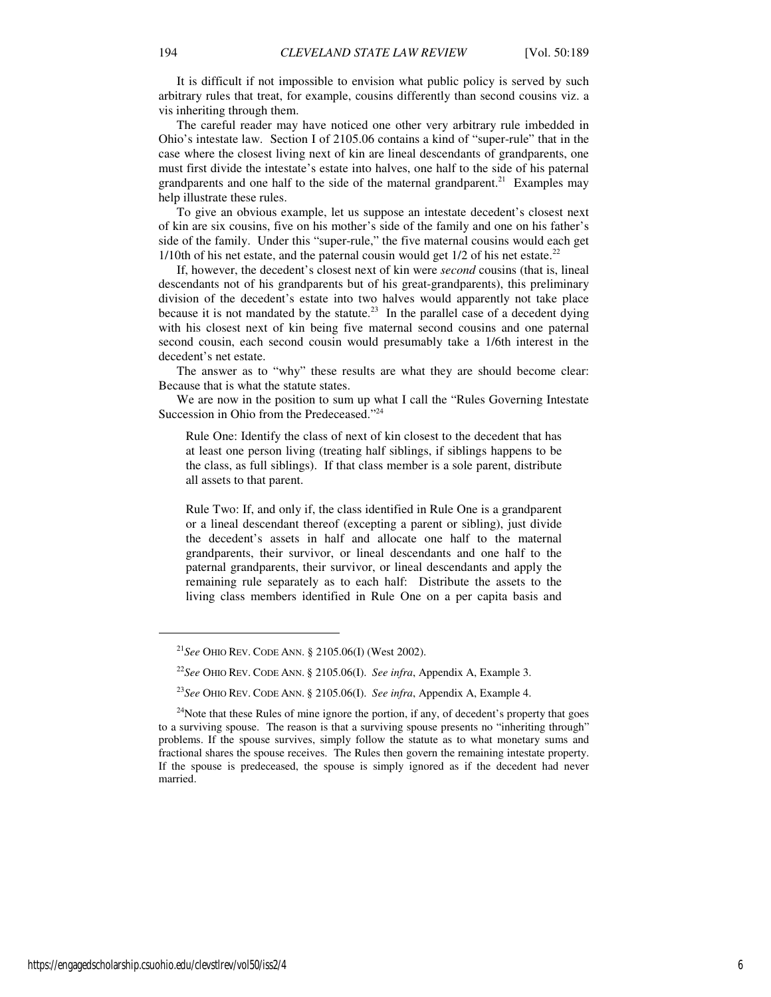It is difficult if not impossible to envision what public policy is served by such arbitrary rules that treat, for example, cousins differently than second cousins viz. a vis inheriting through them.

The careful reader may have noticed one other very arbitrary rule imbedded in Ohio's intestate law. Section I of 2105.06 contains a kind of "super-rule" that in the case where the closest living next of kin are lineal descendants of grandparents, one must first divide the intestate's estate into halves, one half to the side of his paternal grandparents and one half to the side of the maternal grandparent.<sup>21</sup> Examples may help illustrate these rules.

To give an obvious example, let us suppose an intestate decedent's closest next of kin are six cousins, five on his mother's side of the family and one on his father's side of the family. Under this "super-rule," the five maternal cousins would each get  $1/10$ th of his net estate, and the paternal cousin would get  $1/2$  of his net estate.<sup>22</sup>

If, however, the decedent's closest next of kin were *second* cousins (that is, lineal descendants not of his grandparents but of his great-grandparents), this preliminary division of the decedent's estate into two halves would apparently not take place because it is not mandated by the statute.<sup>23</sup> In the parallel case of a decedent dying with his closest next of kin being five maternal second cousins and one paternal second cousin, each second cousin would presumably take a 1/6th interest in the decedent's net estate.

The answer as to "why" these results are what they are should become clear: Because that is what the statute states.

We are now in the position to sum up what I call the "Rules Governing Intestate" Succession in Ohio from the Predeceased."<sup>24</sup>

Rule One: Identify the class of next of kin closest to the decedent that has at least one person living (treating half siblings, if siblings happens to be the class, as full siblings). If that class member is a sole parent, distribute all assets to that parent.

Rule Two: If, and only if, the class identified in Rule One is a grandparent or a lineal descendant thereof (excepting a parent or sibling), just divide the decedent's assets in half and allocate one half to the maternal grandparents, their survivor, or lineal descendants and one half to the paternal grandparents, their survivor, or lineal descendants and apply the remaining rule separately as to each half: Distribute the assets to the living class members identified in Rule One on a per capita basis and

j

<sup>21</sup>*See* OHIO REV. CODE ANN. § 2105.06(I) (West 2002).

<sup>22</sup>*See* OHIO REV. CODE ANN. § 2105.06(I). *See infra*, Appendix A, Example 3.

<sup>23</sup>*See* OHIO REV. CODE ANN. § 2105.06(I). *See infra*, Appendix A, Example 4.

 $24$ Note that these Rules of mine ignore the portion, if any, of decedent's property that goes to a surviving spouse. The reason is that a surviving spouse presents no "inheriting through" problems. If the spouse survives, simply follow the statute as to what monetary sums and fractional shares the spouse receives. The Rules then govern the remaining intestate property. If the spouse is predeceased, the spouse is simply ignored as if the decedent had never married.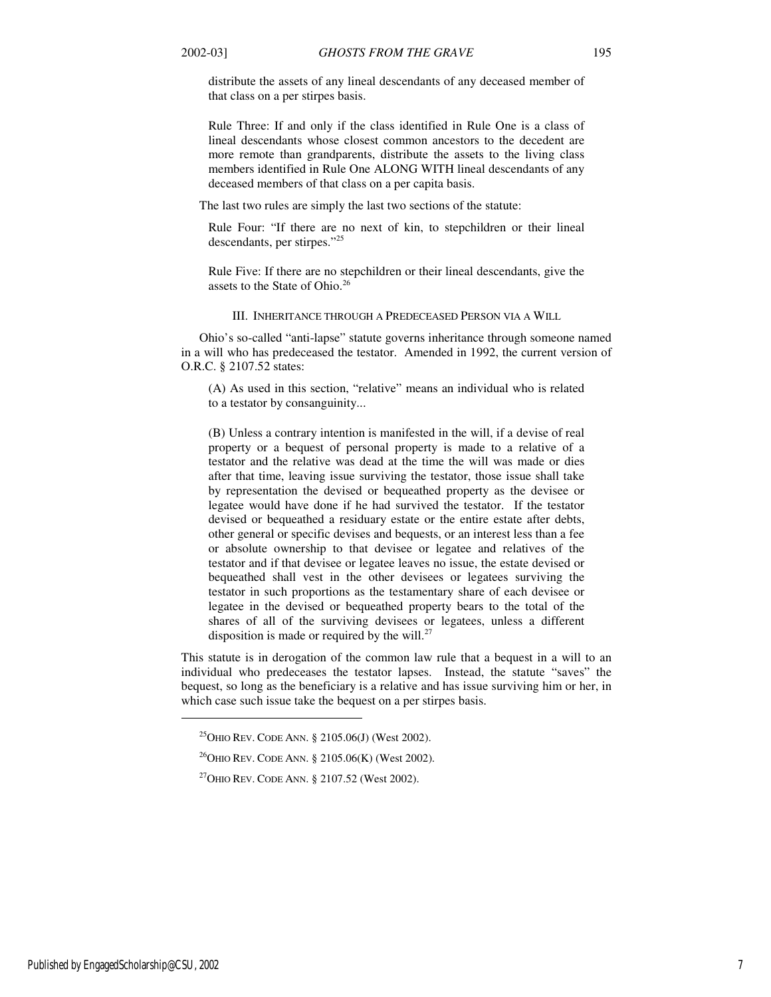distribute the assets of any lineal descendants of any deceased member of that class on a per stirpes basis.

Rule Three: If and only if the class identified in Rule One is a class of lineal descendants whose closest common ancestors to the decedent are more remote than grandparents, distribute the assets to the living class members identified in Rule One ALONG WITH lineal descendants of any deceased members of that class on a per capita basis.

The last two rules are simply the last two sections of the statute:

Rule Four: "If there are no next of kin, to stepchildren or their lineal descendants, per stirpes."<sup>25</sup>

Rule Five: If there are no stepchildren or their lineal descendants, give the assets to the State of Ohio.<sup>26</sup>

#### III. INHERITANCE THROUGH A PREDECEASED PERSON VIA A WILL

Ohio's so-called "anti-lapse" statute governs inheritance through someone named in a will who has predeceased the testator. Amended in 1992, the current version of O.R.C. § 2107.52 states:

(A) As used in this section, "relative" means an individual who is related to a testator by consanguinity...

(B) Unless a contrary intention is manifested in the will, if a devise of real property or a bequest of personal property is made to a relative of a testator and the relative was dead at the time the will was made or dies after that time, leaving issue surviving the testator, those issue shall take by representation the devised or bequeathed property as the devisee or legatee would have done if he had survived the testator. If the testator devised or bequeathed a residuary estate or the entire estate after debts, other general or specific devises and bequests, or an interest less than a fee or absolute ownership to that devisee or legatee and relatives of the testator and if that devisee or legatee leaves no issue, the estate devised or bequeathed shall vest in the other devisees or legatees surviving the testator in such proportions as the testamentary share of each devisee or legatee in the devised or bequeathed property bears to the total of the shares of all of the surviving devisees or legatees, unless a different disposition is made or required by the will. $^{27}$ 

This statute is in derogation of the common law rule that a bequest in a will to an individual who predeceases the testator lapses. Instead, the statute "saves" the bequest, so long as the beneficiary is a relative and has issue surviving him or her, in which case such issue take the bequest on a per stirpes basis.

 $^{26}$ OHIO REV. CODE ANN. § 2105.06(K) (West 2002).

<sup>&</sup>lt;sup>25</sup>OHIO REV. CODE ANN. § 2105.06(J) (West 2002).

<sup>&</sup>lt;sup>27</sup>OHIO REV. CODE ANN. § 2107.52 (West 2002).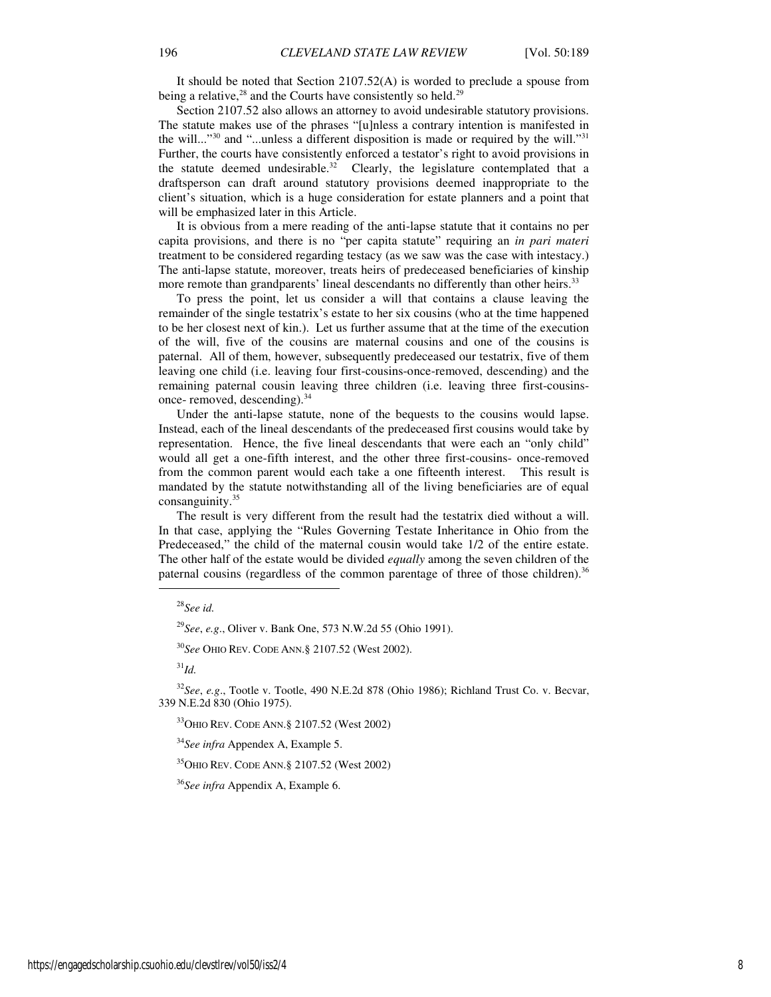It should be noted that Section 2107.52(A) is worded to preclude a spouse from being a relative, $28$  and the Courts have consistently so held.<sup>29</sup>

Section 2107.52 also allows an attorney to avoid undesirable statutory provisions. The statute makes use of the phrases "[u]nless a contrary intention is manifested in the will..."<sup>30</sup> and "...unless a different disposition is made or required by the will."<sup>31</sup> Further, the courts have consistently enforced a testator's right to avoid provisions in the statute deemed undesirable.<sup>32</sup> Clearly, the legislature contemplated that a draftsperson can draft around statutory provisions deemed inappropriate to the client's situation, which is a huge consideration for estate planners and a point that will be emphasized later in this Article.

It is obvious from a mere reading of the anti-lapse statute that it contains no per capita provisions, and there is no "per capita statute" requiring an *in pari materi*  treatment to be considered regarding testacy (as we saw was the case with intestacy.) The anti-lapse statute, moreover, treats heirs of predeceased beneficiaries of kinship more remote than grandparents' lineal descendants no differently than other heirs.<sup>33</sup>

To press the point, let us consider a will that contains a clause leaving the remainder of the single testatrix's estate to her six cousins (who at the time happened to be her closest next of kin.). Let us further assume that at the time of the execution of the will, five of the cousins are maternal cousins and one of the cousins is paternal. All of them, however, subsequently predeceased our testatrix, five of them leaving one child (i.e. leaving four first-cousins-once-removed, descending) and the remaining paternal cousin leaving three children (i.e. leaving three first-cousinsonce- removed, descending).<sup>34</sup>

Under the anti-lapse statute, none of the bequests to the cousins would lapse. Instead, each of the lineal descendants of the predeceased first cousins would take by representation. Hence, the five lineal descendants that were each an "only child" would all get a one-fifth interest, and the other three first-cousins- once-removed from the common parent would each take a one fifteenth interest. This result is mandated by the statute notwithstanding all of the living beneficiaries are of equal consanguinity. $35$ 

The result is very different from the result had the testatrix died without a will. In that case, applying the "Rules Governing Testate Inheritance in Ohio from the Predeceased," the child of the maternal cousin would take 1/2 of the entire estate. The other half of the estate would be divided *equally* among the seven children of the paternal cousins (regardless of the common parentage of three of those children).<sup>36</sup>

1

<sup>30</sup>*See* OHIO REV. CODE ANN.§ 2107.52 (West 2002).

 $^{31}$ *Id.* 

<sup>32</sup>*See*, *e.g*., Tootle v. Tootle, 490 N.E.2d 878 (Ohio 1986); Richland Trust Co. v. Becvar, 339 N.E.2d 830 (Ohio 1975).

<sup>33</sup>OHIO REV. CODE ANN.§ 2107.52 (West 2002)

<sup>34</sup>*See infra* Appendex A, Example 5.

<sup>35</sup>OHIO REV. CODE ANN.§ 2107.52 (West 2002)

<sup>36</sup>*See infra* Appendix A, Example 6.

<sup>28</sup>*See id.* 

<sup>29</sup>*See*, *e.g*., Oliver v. Bank One, 573 N.W.2d 55 (Ohio 1991).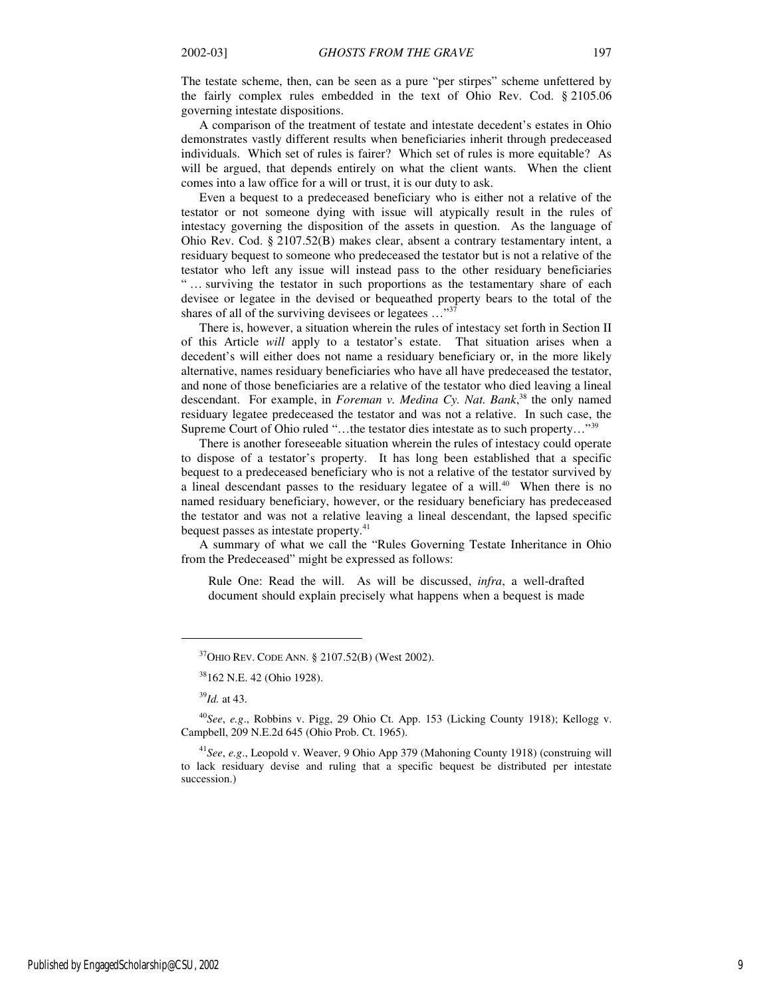The testate scheme, then, can be seen as a pure "per stirpes" scheme unfettered by the fairly complex rules embedded in the text of Ohio Rev. Cod. § 2105.06 governing intestate dispositions.

A comparison of the treatment of testate and intestate decedent's estates in Ohio demonstrates vastly different results when beneficiaries inherit through predeceased individuals. Which set of rules is fairer? Which set of rules is more equitable? As will be argued, that depends entirely on what the client wants. When the client comes into a law office for a will or trust, it is our duty to ask.

Even a bequest to a predeceased beneficiary who is either not a relative of the testator or not someone dying with issue will atypically result in the rules of intestacy governing the disposition of the assets in question. As the language of Ohio Rev. Cod. § 2107.52(B) makes clear, absent a contrary testamentary intent, a residuary bequest to someone who predeceased the testator but is not a relative of the testator who left any issue will instead pass to the other residuary beneficiaries " … surviving the testator in such proportions as the testamentary share of each devisee or legatee in the devised or bequeathed property bears to the total of the shares of all of the surviving devisees or legatees ..."<sup>37</sup>

There is, however, a situation wherein the rules of intestacy set forth in Section II of this Article *will* apply to a testator's estate. That situation arises when a decedent's will either does not name a residuary beneficiary or, in the more likely alternative, names residuary beneficiaries who have all have predeceased the testator, and none of those beneficiaries are a relative of the testator who died leaving a lineal descendant. For example, in *Foreman v. Medina Cy. Nat. Bank*, <sup>38</sup> the only named residuary legatee predeceased the testator and was not a relative. In such case, the Supreme Court of Ohio ruled "…the testator dies intestate as to such property…"<sup>39</sup>

There is another foreseeable situation wherein the rules of intestacy could operate to dispose of a testator's property. It has long been established that a specific bequest to a predeceased beneficiary who is not a relative of the testator survived by a lineal descendant passes to the residuary legatee of a will.<sup>40</sup> When there is no named residuary beneficiary, however, or the residuary beneficiary has predeceased the testator and was not a relative leaving a lineal descendant, the lapsed specific bequest passes as intestate property.<sup>41</sup>

A summary of what we call the "Rules Governing Testate Inheritance in Ohio from the Predeceased" might be expressed as follows:

Rule One: Read the will. As will be discussed, *infra*, a well-drafted document should explain precisely what happens when a bequest is made

<sup>39</sup>*Id.* at 43.

1

<sup>40</sup>*See*, *e.g*., Robbins v. Pigg, 29 Ohio Ct. App. 153 (Licking County 1918); Kellogg v. Campbell, 209 N.E.2d 645 (Ohio Prob. Ct. 1965).

<sup>41</sup>*See*, *e.g*., Leopold v. Weaver, 9 Ohio App 379 (Mahoning County 1918) (construing will to lack residuary devise and ruling that a specific bequest be distributed per intestate succession.)

<sup>37</sup>OHIO REV. CODE ANN. § 2107.52(B) (West 2002).

<sup>38</sup>162 N.E. 42 (Ohio 1928).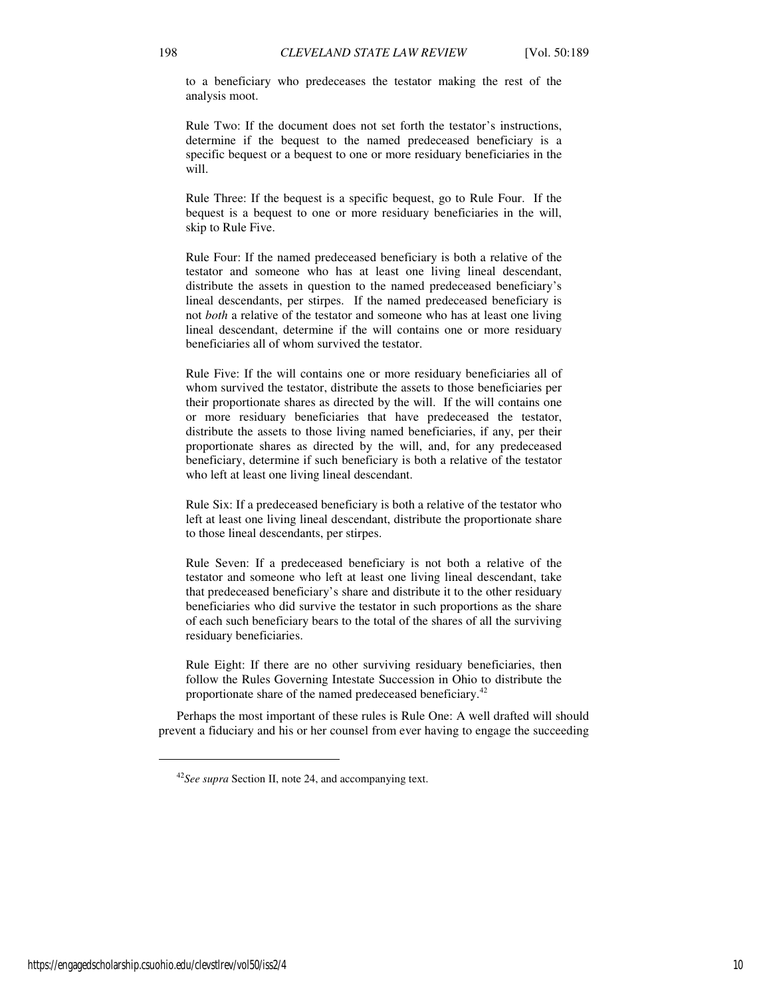to a beneficiary who predeceases the testator making the rest of the analysis moot.

Rule Two: If the document does not set forth the testator's instructions, determine if the bequest to the named predeceased beneficiary is a specific bequest or a bequest to one or more residuary beneficiaries in the will.

Rule Three: If the bequest is a specific bequest, go to Rule Four. If the bequest is a bequest to one or more residuary beneficiaries in the will, skip to Rule Five.

Rule Four: If the named predeceased beneficiary is both a relative of the testator and someone who has at least one living lineal descendant, distribute the assets in question to the named predeceased beneficiary's lineal descendants, per stirpes. If the named predeceased beneficiary is not *both* a relative of the testator and someone who has at least one living lineal descendant, determine if the will contains one or more residuary beneficiaries all of whom survived the testator.

Rule Five: If the will contains one or more residuary beneficiaries all of whom survived the testator, distribute the assets to those beneficiaries per their proportionate shares as directed by the will. If the will contains one or more residuary beneficiaries that have predeceased the testator, distribute the assets to those living named beneficiaries, if any, per their proportionate shares as directed by the will, and, for any predeceased beneficiary, determine if such beneficiary is both a relative of the testator who left at least one living lineal descendant.

Rule Six: If a predeceased beneficiary is both a relative of the testator who left at least one living lineal descendant, distribute the proportionate share to those lineal descendants, per stirpes.

Rule Seven: If a predeceased beneficiary is not both a relative of the testator and someone who left at least one living lineal descendant, take that predeceased beneficiary's share and distribute it to the other residuary beneficiaries who did survive the testator in such proportions as the share of each such beneficiary bears to the total of the shares of all the surviving residuary beneficiaries.

Rule Eight: If there are no other surviving residuary beneficiaries, then follow the Rules Governing Intestate Succession in Ohio to distribute the proportionate share of the named predeceased beneficiary.<sup>42</sup>

Perhaps the most important of these rules is Rule One: A well drafted will should prevent a fiduciary and his or her counsel from ever having to engage the succeeding

<sup>42</sup>*See supra* Section II, note 24, and accompanying text.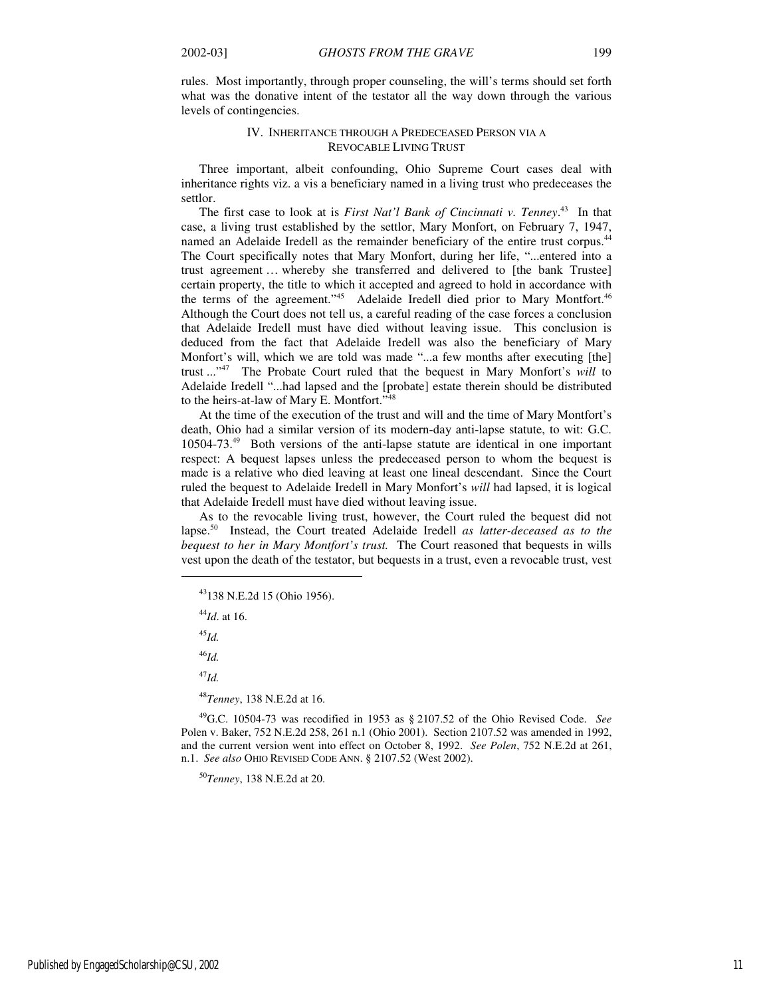rules. Most importantly, through proper counseling, the will's terms should set forth what was the donative intent of the testator all the way down through the various levels of contingencies.

#### IV. INHERITANCE THROUGH A PREDECEASED PERSON VIA A REVOCABLE LIVING TRUST

Three important, albeit confounding, Ohio Supreme Court cases deal with inheritance rights viz. a vis a beneficiary named in a living trust who predeceases the settlor.

The first case to look at is *First Nat'l Bank of Cincinnati v. Tenney*. <sup>43</sup> In that case, a living trust established by the settlor, Mary Monfort, on February 7, 1947, named an Adelaide Iredell as the remainder beneficiary of the entire trust corpus.<sup>44</sup> The Court specifically notes that Mary Monfort, during her life, "...entered into a trust agreement … whereby she transferred and delivered to [the bank Trustee] certain property, the title to which it accepted and agreed to hold in accordance with the terms of the agreement."<sup>45</sup> Adelaide Iredell died prior to Mary Montfort.<sup>46</sup> Although the Court does not tell us, a careful reading of the case forces a conclusion that Adelaide Iredell must have died without leaving issue. This conclusion is deduced from the fact that Adelaide Iredell was also the beneficiary of Mary Monfort's will, which we are told was made "...a few months after executing [the] trust ..."<sup>47</sup> The Probate Court ruled that the bequest in Mary Monfort's *will* to Adelaide Iredell "...had lapsed and the [probate] estate therein should be distributed to the heirs-at-law of Mary E. Montfort."<sup>48</sup>

At the time of the execution of the trust and will and the time of Mary Montfort's death, Ohio had a similar version of its modern-day anti-lapse statute, to wit: G.C. 10504-73.<sup>49</sup> Both versions of the anti-lapse statute are identical in one important respect: A bequest lapses unless the predeceased person to whom the bequest is made is a relative who died leaving at least one lineal descendant. Since the Court ruled the bequest to Adelaide Iredell in Mary Monfort's *will* had lapsed, it is logical that Adelaide Iredell must have died without leaving issue.

As to the revocable living trust, however, the Court ruled the bequest did not lapse.<sup>50</sup> Instead, the Court treated Adelaide Iredell *as latter-deceased as to the bequest to her in Mary Montfort's trust.* The Court reasoned that bequests in wills vest upon the death of the testator, but bequests in a trust, even a revocable trust, vest

<sup>44</sup>*Id*. at 16.

<sup>45</sup>*Id.* 

j

<sup>46</sup>*Id.* 

<sup>47</sup>*Id.* 

<sup>48</sup>*Tenney*, 138 N.E.2d at 16.

<sup>49</sup>G.C. 10504-73 was recodified in 1953 as § 2107.52 of the Ohio Revised Code. *See* Polen v. Baker, 752 N.E.2d 258, 261 n.1 (Ohio 2001). Section 2107.52 was amended in 1992, and the current version went into effect on October 8, 1992. *See Polen*, 752 N.E.2d at 261, n.1. *See also* OHIO REVISED CODE ANN. § 2107.52 (West 2002).

<sup>50</sup>*Tenney*, 138 N.E.2d at 20.

<sup>43</sup>138 N.E.2d 15 (Ohio 1956).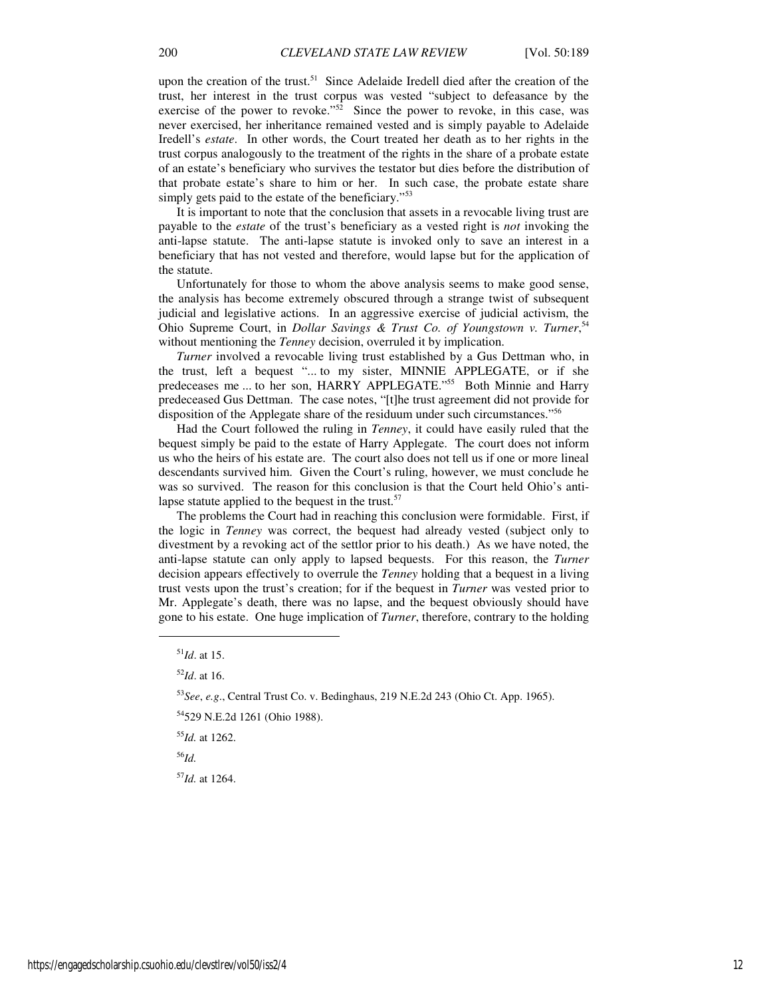upon the creation of the trust.<sup>51</sup> Since Adelaide Iredell died after the creation of the trust, her interest in the trust corpus was vested "subject to defeasance by the exercise of the power to revoke."<sup>52</sup> Since the power to revoke, in this case, was never exercised, her inheritance remained vested and is simply payable to Adelaide Iredell's *estate*. In other words, the Court treated her death as to her rights in the trust corpus analogously to the treatment of the rights in the share of a probate estate of an estate's beneficiary who survives the testator but dies before the distribution of that probate estate's share to him or her. In such case, the probate estate share simply gets paid to the estate of the beneficiary."<sup>53</sup>

It is important to note that the conclusion that assets in a revocable living trust are payable to the *estate* of the trust's beneficiary as a vested right is *not* invoking the anti-lapse statute. The anti-lapse statute is invoked only to save an interest in a beneficiary that has not vested and therefore, would lapse but for the application of the statute.

Unfortunately for those to whom the above analysis seems to make good sense, the analysis has become extremely obscured through a strange twist of subsequent judicial and legislative actions. In an aggressive exercise of judicial activism, the Ohio Supreme Court, in *Dollar Savings & Trust Co. of Youngstown v. Turner*, 54 without mentioning the *Tenney* decision, overruled it by implication.

*Turner* involved a revocable living trust established by a Gus Dettman who, in the trust, left a bequest "... to my sister, MINNIE APPLEGATE, or if she predeceases me ... to her son, HARRY APPLEGATE."<sup>555</sup> Both Minnie and Harry predeceased Gus Dettman. The case notes, "[t]he trust agreement did not provide for disposition of the Applegate share of the residuum under such circumstances."<sup>56</sup>

Had the Court followed the ruling in *Tenney*, it could have easily ruled that the bequest simply be paid to the estate of Harry Applegate. The court does not inform us who the heirs of his estate are. The court also does not tell us if one or more lineal descendants survived him. Given the Court's ruling, however, we must conclude he was so survived. The reason for this conclusion is that the Court held Ohio's antilapse statute applied to the bequest in the trust.<sup>57</sup>

The problems the Court had in reaching this conclusion were formidable. First, if the logic in *Tenney* was correct, the bequest had already vested (subject only to divestment by a revoking act of the settlor prior to his death.) As we have noted, the anti-lapse statute can only apply to lapsed bequests. For this reason, the *Turner* decision appears effectively to overrule the *Tenney* holding that a bequest in a living trust vests upon the trust's creation; for if the bequest in *Turner* was vested prior to Mr. Applegate's death, there was no lapse, and the bequest obviously should have gone to his estate. One huge implication of *Turner*, therefore, contrary to the holding

 $\overline{a}$ 

<sup>55</sup>*Id.* at 1262.

<sup>56</sup>*Id.* 

<sup>57</sup>*Id.* at 1264.

<sup>51</sup>*Id*. at 15.

<sup>52</sup>*Id*. at 16.

<sup>53</sup>*See*, *e.g*., Central Trust Co. v. Bedinghaus, 219 N.E.2d 243 (Ohio Ct. App. 1965).

<sup>54</sup>529 N.E.2d 1261 (Ohio 1988).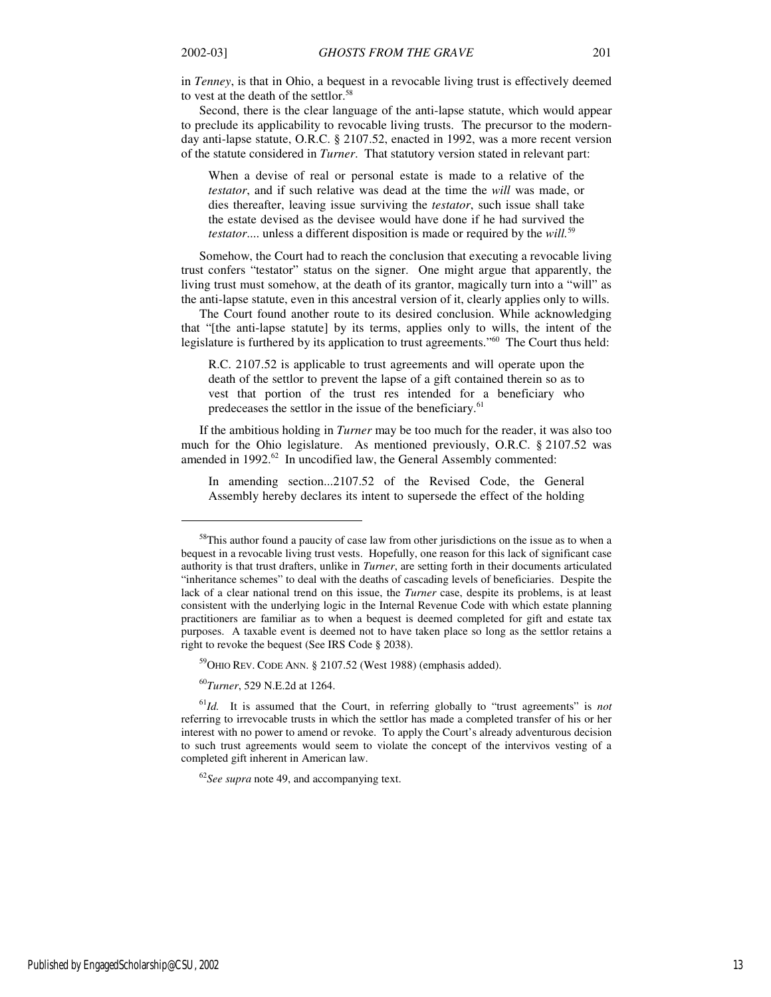$\overline{a}$ 

in *Tenney*, is that in Ohio, a bequest in a revocable living trust is effectively deemed to vest at the death of the settlor.<sup>58</sup>

Second, there is the clear language of the anti-lapse statute, which would appear to preclude its applicability to revocable living trusts. The precursor to the modernday anti-lapse statute, O.R.C. § 2107.52, enacted in 1992, was a more recent version of the statute considered in *Turner*. That statutory version stated in relevant part:

When a devise of real or personal estate is made to a relative of the *testator*, and if such relative was dead at the time the *will* was made, or dies thereafter, leaving issue surviving the *testator*, such issue shall take the estate devised as the devisee would have done if he had survived the *testator*.... unless a different disposition is made or required by the *will.*<sup>59</sup>

Somehow, the Court had to reach the conclusion that executing a revocable living trust confers "testator" status on the signer. One might argue that apparently, the living trust must somehow, at the death of its grantor, magically turn into a "will" as the anti-lapse statute, even in this ancestral version of it, clearly applies only to wills.

The Court found another route to its desired conclusion. While acknowledging that "[the anti-lapse statute] by its terms, applies only to wills, the intent of the legislature is furthered by its application to trust agreements."<sup>60</sup> The Court thus held:

R.C. 2107.52 is applicable to trust agreements and will operate upon the death of the settlor to prevent the lapse of a gift contained therein so as to vest that portion of the trust res intended for a beneficiary who predeceases the settlor in the issue of the beneficiary.<sup>61</sup>

If the ambitious holding in *Turner* may be too much for the reader, it was also too much for the Ohio legislature. As mentioned previously, O.R.C. § 2107.52 was amended in 1992.<sup>62</sup> In uncodified law, the General Assembly commented:

In amending section...2107.52 of the Revised Code, the General Assembly hereby declares its intent to supersede the effect of the holding

<sup>59</sup>OHIO REV. CODE ANN. § 2107.52 (West 1988) (emphasis added).

<sup>60</sup>*Turner*, 529 N.E.2d at 1264.

 $58$ This author found a paucity of case law from other jurisdictions on the issue as to when a bequest in a revocable living trust vests. Hopefully, one reason for this lack of significant case authority is that trust drafters, unlike in *Turner*, are setting forth in their documents articulated "inheritance schemes" to deal with the deaths of cascading levels of beneficiaries. Despite the lack of a clear national trend on this issue, the *Turner* case, despite its problems, is at least consistent with the underlying logic in the Internal Revenue Code with which estate planning practitioners are familiar as to when a bequest is deemed completed for gift and estate tax purposes. A taxable event is deemed not to have taken place so long as the settlor retains a right to revoke the bequest (See IRS Code § 2038).

<sup>61</sup>*Id.* It is assumed that the Court, in referring globally to "trust agreements" is *not* referring to irrevocable trusts in which the settlor has made a completed transfer of his or her interest with no power to amend or revoke. To apply the Court's already adventurous decision to such trust agreements would seem to violate the concept of the intervivos vesting of a completed gift inherent in American law.

<sup>&</sup>lt;sup>62</sup>See supra note 49, and accompanying text.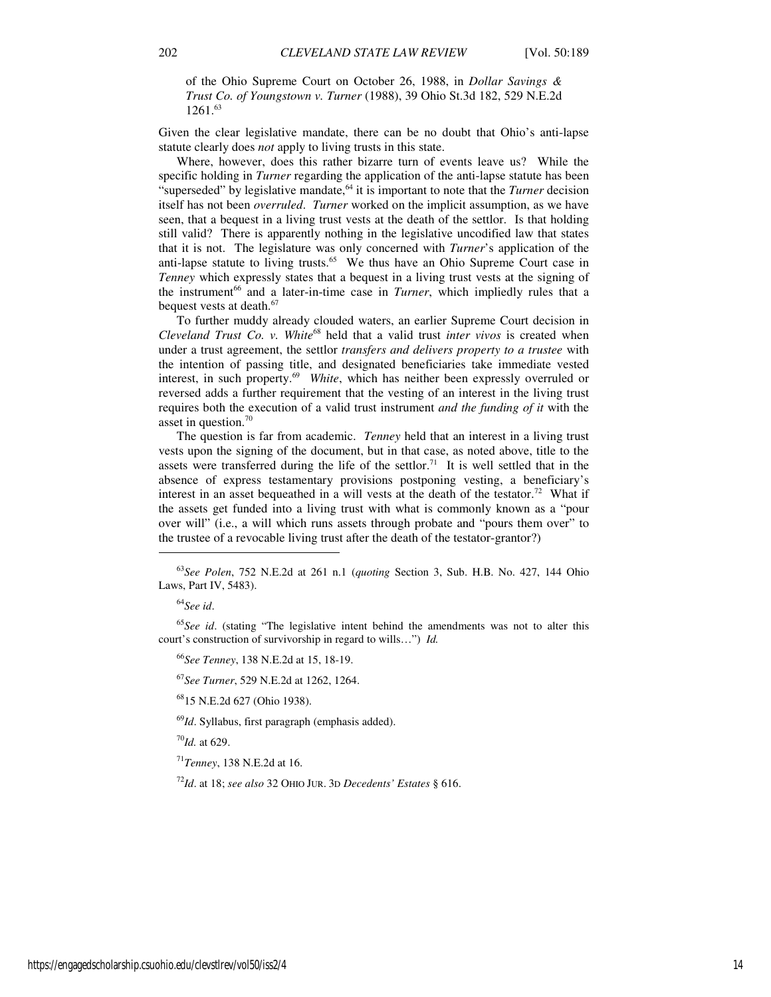of the Ohio Supreme Court on October 26, 1988, in *Dollar Savings & Trust Co. of Youngstown v. Turner* (1988), 39 Ohio St.3d 182, 529 N.E.2d 1261.<sup>63</sup>

Given the clear legislative mandate, there can be no doubt that Ohio's anti-lapse statute clearly does *not* apply to living trusts in this state.

Where, however, does this rather bizarre turn of events leave us? While the specific holding in *Turner* regarding the application of the anti-lapse statute has been "superseded" by legislative mandate,<sup>64</sup> it is important to note that the *Turner* decision itself has not been *overruled*. *Turner* worked on the implicit assumption, as we have seen, that a bequest in a living trust vests at the death of the settlor. Is that holding still valid? There is apparently nothing in the legislative uncodified law that states that it is not. The legislature was only concerned with *Turner*'s application of the anti-lapse statute to living trusts.<sup>65</sup> We thus have an Ohio Supreme Court case in *Tenney* which expressly states that a bequest in a living trust vests at the signing of the instrument<sup>66</sup> and a later-in-time case in *Turner*, which impliedly rules that a bequest vests at death.<sup>67</sup>

To further muddy already clouded waters, an earlier Supreme Court decision in *Cleveland Trust Co. v. White*<sup>68</sup> held that a valid trust *inter vivos* is created when under a trust agreement, the settlor *transfers and delivers property to a trustee* with the intention of passing title, and designated beneficiaries take immediate vested interest, in such property.<sup>69</sup> White, which has neither been expressly overruled or reversed adds a further requirement that the vesting of an interest in the living trust requires both the execution of a valid trust instrument *and the funding of it* with the asset in question.<sup>70</sup>

The question is far from academic. *Tenney* held that an interest in a living trust vests upon the signing of the document, but in that case, as noted above, title to the assets were transferred during the life of the settlor.<sup>71</sup> It is well settled that in the absence of express testamentary provisions postponing vesting, a beneficiary's interest in an asset bequeathed in a will vests at the death of the testator.<sup>72</sup> What if the assets get funded into a living trust with what is commonly known as a "pour over will" (i.e., a will which runs assets through probate and "pours them over" to the trustee of a revocable living trust after the death of the testator-grantor?)

j

<sup>65</sup>See id. (stating "The legislative intent behind the amendments was not to alter this court's construction of survivorship in regard to wills…") *Id.* 

<sup>66</sup>*See Tenney*, 138 N.E.2d at 15, 18-19.

<sup>67</sup>*See Turner*, 529 N.E.2d at 1262, 1264.

<sup>68</sup>15 N.E.2d 627 (Ohio 1938).

<sup>69</sup>*Id*. Syllabus, first paragraph (emphasis added).

<sup>70</sup>*Id.* at 629.

<sup>71</sup>*Tenney*, 138 N.E.2d at 16.

<sup>72</sup>*Id*. at 18; *see also* 32 OHIO JUR. 3<sup>D</sup> *Decedents' Estates* § 616.

<sup>63</sup>*See Polen*, 752 N.E.2d at 261 n.1 (*quoting* Section 3, Sub. H.B. No. 427, 144 Ohio Laws, Part IV, 5483).

<sup>64</sup>*See id*.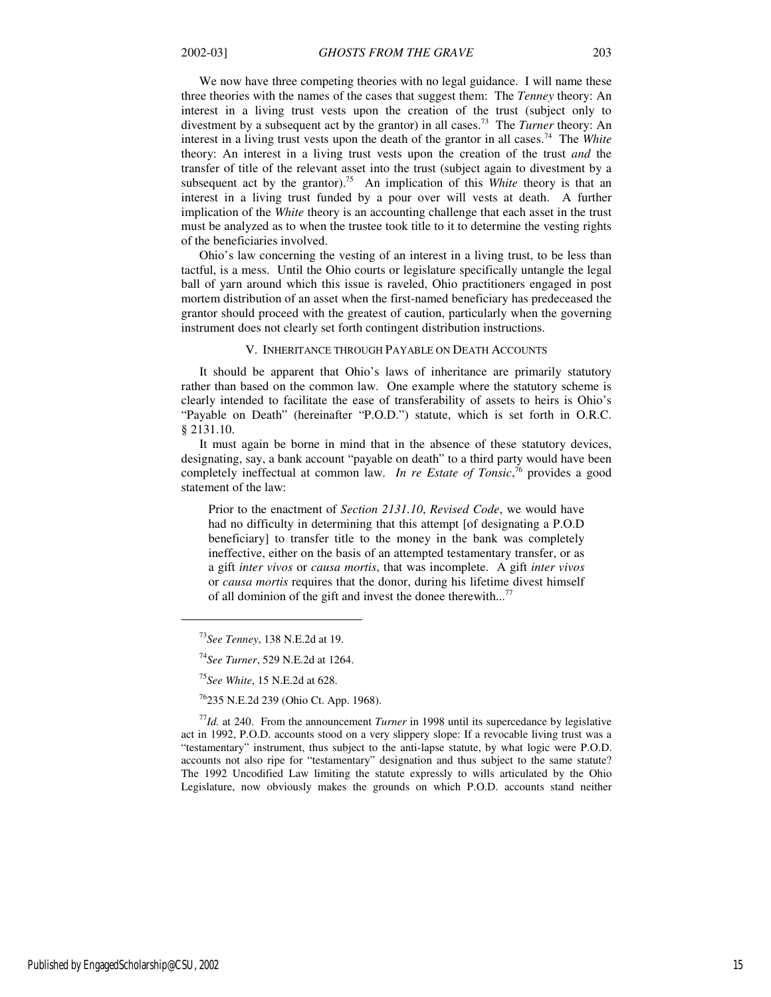We now have three competing theories with no legal guidance. I will name these three theories with the names of the cases that suggest them: The *Tenney* theory: An interest in a living trust vests upon the creation of the trust (subject only to divestment by a subsequent act by the grantor) in all cases.<sup>73</sup> The *Turner* theory: An interest in a living trust vests upon the death of the grantor in all cases.<sup>74</sup> The *White* theory: An interest in a living trust vests upon the creation of the trust *and* the transfer of title of the relevant asset into the trust (subject again to divestment by a subsequent act by the grantor).<sup>75</sup> An implication of this *White* theory is that an interest in a living trust funded by a pour over will vests at death. A further implication of the *White* theory is an accounting challenge that each asset in the trust must be analyzed as to when the trustee took title to it to determine the vesting rights of the beneficiaries involved.

Ohio's law concerning the vesting of an interest in a living trust, to be less than tactful, is a mess. Until the Ohio courts or legislature specifically untangle the legal ball of yarn around which this issue is raveled, Ohio practitioners engaged in post mortem distribution of an asset when the first-named beneficiary has predeceased the grantor should proceed with the greatest of caution, particularly when the governing instrument does not clearly set forth contingent distribution instructions.

#### V. INHERITANCE THROUGH PAYABLE ON DEATH ACCOUNTS

It should be apparent that Ohio's laws of inheritance are primarily statutory rather than based on the common law. One example where the statutory scheme is clearly intended to facilitate the ease of transferability of assets to heirs is Ohio's "Payable on Death" (hereinafter "P.O.D.") statute, which is set forth in O.R.C. § 2131.10.

It must again be borne in mind that in the absence of these statutory devices, designating, say, a bank account "payable on death" to a third party would have been completely ineffectual at common law. *In re Estate of Tonsic*, <sup>76</sup> provides a good statement of the law:

Prior to the enactment of *Section 2131.10*, *Revised Code*, we would have had no difficulty in determining that this attempt [of designating a P.O.D beneficiary] to transfer title to the money in the bank was completely ineffective, either on the basis of an attempted testamentary transfer, or as a gift *inter vivos* or *causa mortis*, that was incomplete. A gift *inter vivos* or *causa mortis* requires that the donor, during his lifetime divest himself of all dominion of the gift and invest the donee therewith...<sup>77</sup>

 $\overline{a}$ 

<sup>77</sup>*Id.* at 240. From the announcement *Turner* in 1998 until its supercedance by legislative act in 1992, P.O.D. accounts stood on a very slippery slope: If a revocable living trust was a "testamentary" instrument, thus subject to the anti-lapse statute, by what logic were P.O.D. accounts not also ripe for "testamentary" designation and thus subject to the same statute? The 1992 Uncodified Law limiting the statute expressly to wills articulated by the Ohio Legislature, now obviously makes the grounds on which P.O.D. accounts stand neither

<sup>73</sup>*See Tenney*, 138 N.E.2d at 19.

<sup>74</sup>*See Turner*, 529 N.E.2d at 1264.

<sup>75</sup>*See White*, 15 N.E.2d at 628.

<sup>76</sup>235 N.E.2d 239 (Ohio Ct. App. 1968).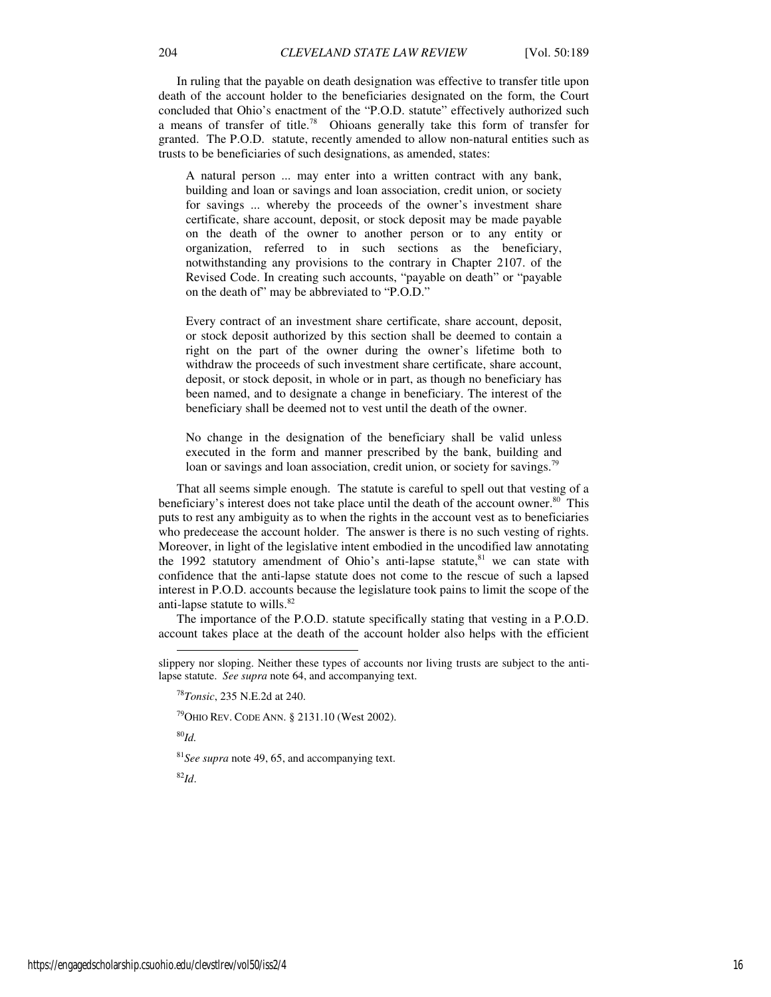In ruling that the payable on death designation was effective to transfer title upon death of the account holder to the beneficiaries designated on the form, the Court concluded that Ohio's enactment of the "P.O.D. statute" effectively authorized such a means of transfer of title.<sup>78</sup> Ohioans generally take this form of transfer for granted. The P.O.D. statute, recently amended to allow non-natural entities such as trusts to be beneficiaries of such designations, as amended, states:

A natural person ... may enter into a written contract with any bank, building and loan or savings and loan association, credit union, or society for savings ... whereby the proceeds of the owner's investment share certificate, share account, deposit, or stock deposit may be made payable on the death of the owner to another person or to any entity or organization, referred to in such sections as the beneficiary, notwithstanding any provisions to the contrary in Chapter 2107. of the Revised Code. In creating such accounts, "payable on death" or "payable on the death of" may be abbreviated to "P.O.D."

Every contract of an investment share certificate, share account, deposit, or stock deposit authorized by this section shall be deemed to contain a right on the part of the owner during the owner's lifetime both to withdraw the proceeds of such investment share certificate, share account, deposit, or stock deposit, in whole or in part, as though no beneficiary has been named, and to designate a change in beneficiary. The interest of the beneficiary shall be deemed not to vest until the death of the owner.

No change in the designation of the beneficiary shall be valid unless executed in the form and manner prescribed by the bank, building and loan or savings and loan association, credit union, or society for savings.<sup>79</sup>

That all seems simple enough. The statute is careful to spell out that vesting of a beneficiary's interest does not take place until the death of the account owner. $80$  This puts to rest any ambiguity as to when the rights in the account vest as to beneficiaries who predecease the account holder. The answer is there is no such vesting of rights. Moreover, in light of the legislative intent embodied in the uncodified law annotating the 1992 statutory amendment of Ohio's anti-lapse statute, $81$  we can state with confidence that the anti-lapse statute does not come to the rescue of such a lapsed interest in P.O.D. accounts because the legislature took pains to limit the scope of the anti-lapse statute to wills.<sup>82</sup>

The importance of the P.O.D. statute specifically stating that vesting in a P.O.D. account takes place at the death of the account holder also helps with the efficient

<sup>79</sup>OHIO REV. CODE ANN. § 2131.10 (West 2002).

<sup>80</sup>*Id.* 

-

<sup>81</sup>*See supra* note 49, 65, and accompanying text.

<sup>82</sup>*Id*.

slippery nor sloping. Neither these types of accounts nor living trusts are subject to the antilapse statute. *See supra* note 64, and accompanying text.

<sup>78</sup>*Tonsic*, 235 N.E.2d at 240.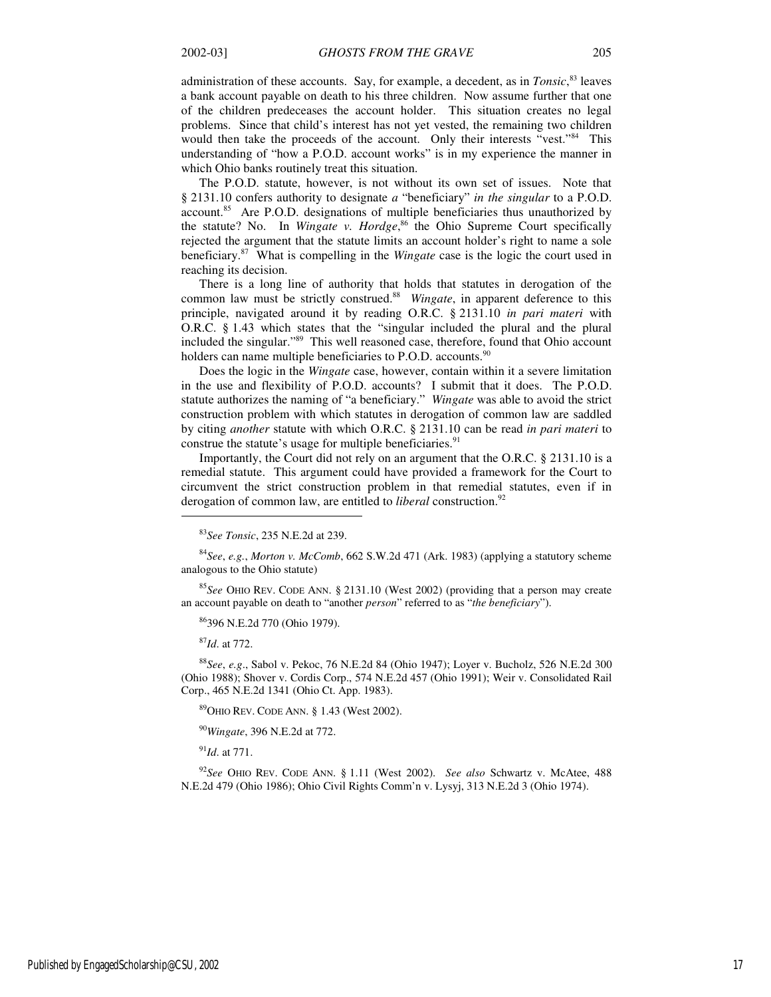administration of these accounts. Say, for example, a decedent, as in *Tonsic*, <sup>83</sup> leaves a bank account payable on death to his three children. Now assume further that one of the children predeceases the account holder. This situation creates no legal problems. Since that child's interest has not yet vested, the remaining two children would then take the proceeds of the account. Only their interests "vest."<sup>84</sup> This understanding of "how a P.O.D. account works" is in my experience the manner in which Ohio banks routinely treat this situation.

The P.O.D. statute, however, is not without its own set of issues. Note that § 2131.10 confers authority to designate *a* "beneficiary" *in the singular* to a P.O.D. account.<sup>85</sup> Are P.O.D. designations of multiple beneficiaries thus unauthorized by the statute? No. In *Wingate v. Hordge*, <sup>86</sup> the Ohio Supreme Court specifically rejected the argument that the statute limits an account holder's right to name a sole beneficiary.<sup>87</sup> What is compelling in the *Wingate* case is the logic the court used in reaching its decision.

There is a long line of authority that holds that statutes in derogation of the common law must be strictly construed.<sup>88</sup> Wingate, in apparent deference to this principle, navigated around it by reading O.R.C. § 2131.10 *in pari materi* with O.R.C. § 1.43 which states that the "singular included the plural and the plural included the singular."<sup>89</sup> This well reasoned case, therefore, found that Ohio account holders can name multiple beneficiaries to P.O.D. accounts.  $90$ 

Does the logic in the *Wingate* case, however, contain within it a severe limitation in the use and flexibility of P.O.D. accounts? I submit that it does. The P.O.D. statute authorizes the naming of "a beneficiary." *Wingate* was able to avoid the strict construction problem with which statutes in derogation of common law are saddled by citing *another* statute with which O.R.C. § 2131.10 can be read *in pari materi* to construe the statute's usage for multiple beneficiaries.<sup>91</sup>

Importantly, the Court did not rely on an argument that the O.R.C. § 2131.10 is a remedial statute. This argument could have provided a framework for the Court to circumvent the strict construction problem in that remedial statutes, even if in derogation of common law, are entitled to *liberal* construction.<sup>92</sup>

<sup>84</sup>*See*, *e.g.*, *Morton v. McComb*, 662 S.W.2d 471 (Ark. 1983) (applying a statutory scheme analogous to the Ohio statute)

<sup>85</sup>*See* OHIO REV. CODE ANN. § 2131.10 (West 2002) (providing that a person may create an account payable on death to "another *person*" referred to as "*the beneficiary*").

<sup>86</sup>396 N.E.2d 770 (Ohio 1979).

<sup>87</sup>*Id*. at 772.

 $\overline{a}$ 

<sup>88</sup>*See*, *e.g*., Sabol v. Pekoc, 76 N.E.2d 84 (Ohio 1947); Loyer v. Bucholz, 526 N.E.2d 300 (Ohio 1988); Shover v. Cordis Corp., 574 N.E.2d 457 (Ohio 1991); Weir v. Consolidated Rail Corp., 465 N.E.2d 1341 (Ohio Ct. App. 1983).

<sup>89</sup>OHIO REV. CODE ANN. § 1.43 (West 2002).

<sup>90</sup>*Wingate*, 396 N.E.2d at 772.

<sup>91</sup>*Id*. at 771.

<sup>92</sup>*See* OHIO REV. CODE ANN. § 1.11 (West 2002). *See also* Schwartz v. McAtee, 488 N.E.2d 479 (Ohio 1986); Ohio Civil Rights Comm'n v. Lysyj, 313 N.E.2d 3 (Ohio 1974).

<sup>83</sup>*See Tonsic*, 235 N.E.2d at 239.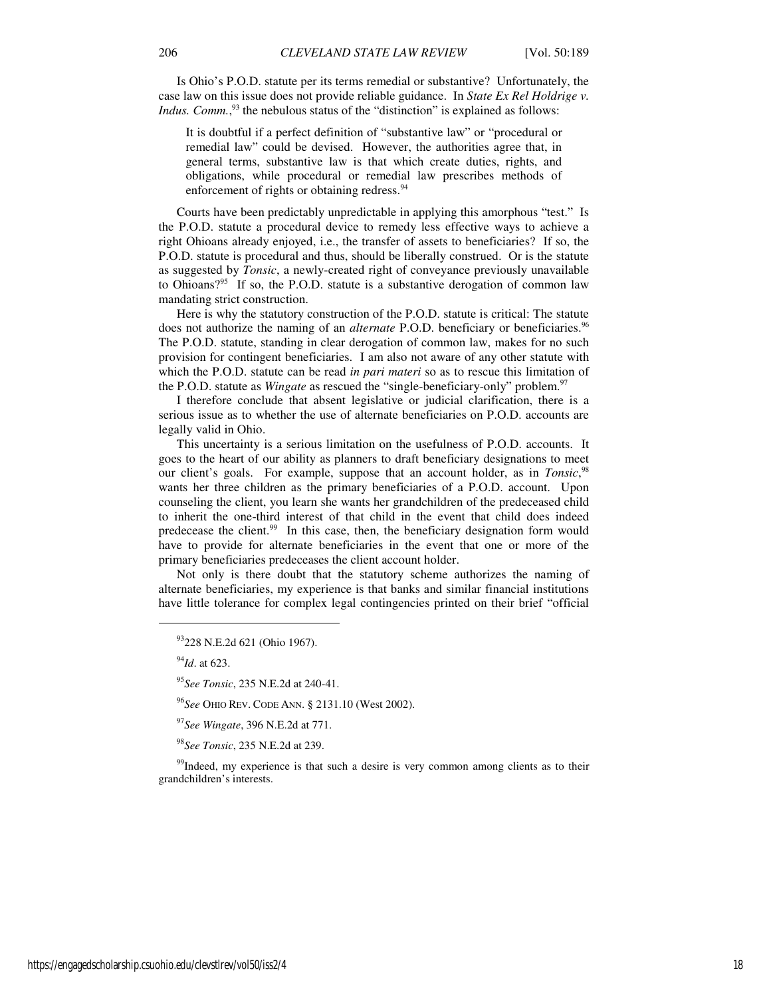Is Ohio's P.O.D. statute per its terms remedial or substantive? Unfortunately, the case law on this issue does not provide reliable guidance. In *State Ex Rel Holdrige v. Indus. Comm.*,<sup>93</sup> the nebulous status of the "distinction" is explained as follows:

It is doubtful if a perfect definition of "substantive law" or "procedural or remedial law" could be devised. However, the authorities agree that, in general terms, substantive law is that which create duties, rights, and obligations, while procedural or remedial law prescribes methods of enforcement of rights or obtaining redress.<sup>94</sup>

Courts have been predictably unpredictable in applying this amorphous "test." Is the P.O.D. statute a procedural device to remedy less effective ways to achieve a right Ohioans already enjoyed, i.e., the transfer of assets to beneficiaries? If so, the P.O.D. statute is procedural and thus, should be liberally construed. Or is the statute as suggested by *Tonsic*, a newly-created right of conveyance previously unavailable to Ohioans?<sup>95</sup> If so, the P.O.D. statute is a substantive derogation of common law mandating strict construction.

Here is why the statutory construction of the P.O.D. statute is critical: The statute does not authorize the naming of an *alternate* P.O.D. beneficiary or beneficiaries.<sup>96</sup> The P.O.D. statute, standing in clear derogation of common law, makes for no such provision for contingent beneficiaries. I am also not aware of any other statute with which the P.O.D. statute can be read *in pari materi* so as to rescue this limitation of the P.O.D. statute as *Wingate* as rescued the "single-beneficiary-only" problem.<sup>97</sup>

I therefore conclude that absent legislative or judicial clarification, there is a serious issue as to whether the use of alternate beneficiaries on P.O.D. accounts are legally valid in Ohio.

This uncertainty is a serious limitation on the usefulness of P.O.D. accounts. It goes to the heart of our ability as planners to draft beneficiary designations to meet our client's goals. For example, suppose that an account holder, as in *Tonsic*, 98 wants her three children as the primary beneficiaries of a P.O.D. account. Upon counseling the client, you learn she wants her grandchildren of the predeceased child to inherit the one-third interest of that child in the event that child does indeed predecease the client.<sup>99</sup> In this case, then, the beneficiary designation form would have to provide for alternate beneficiaries in the event that one or more of the primary beneficiaries predeceases the client account holder.

Not only is there doubt that the statutory scheme authorizes the naming of alternate beneficiaries, my experience is that banks and similar financial institutions have little tolerance for complex legal contingencies printed on their brief "official

<sup>94</sup>*Id*. at 623.

j

<sup>95</sup>*See Tonsic*, 235 N.E.2d at 240-41.

<sup>96</sup>*See* OHIO REV. CODE ANN. § 2131.10 (West 2002).

<sup>97</sup>*See Wingate*, 396 N.E.2d at 771.

<sup>98</sup>*See Tonsic*, 235 N.E.2d at 239.

<sup>99</sup>Indeed, my experience is that such a desire is very common among clients as to their grandchildren's interests.

<sup>93</sup>228 N.E.2d 621 (Ohio 1967).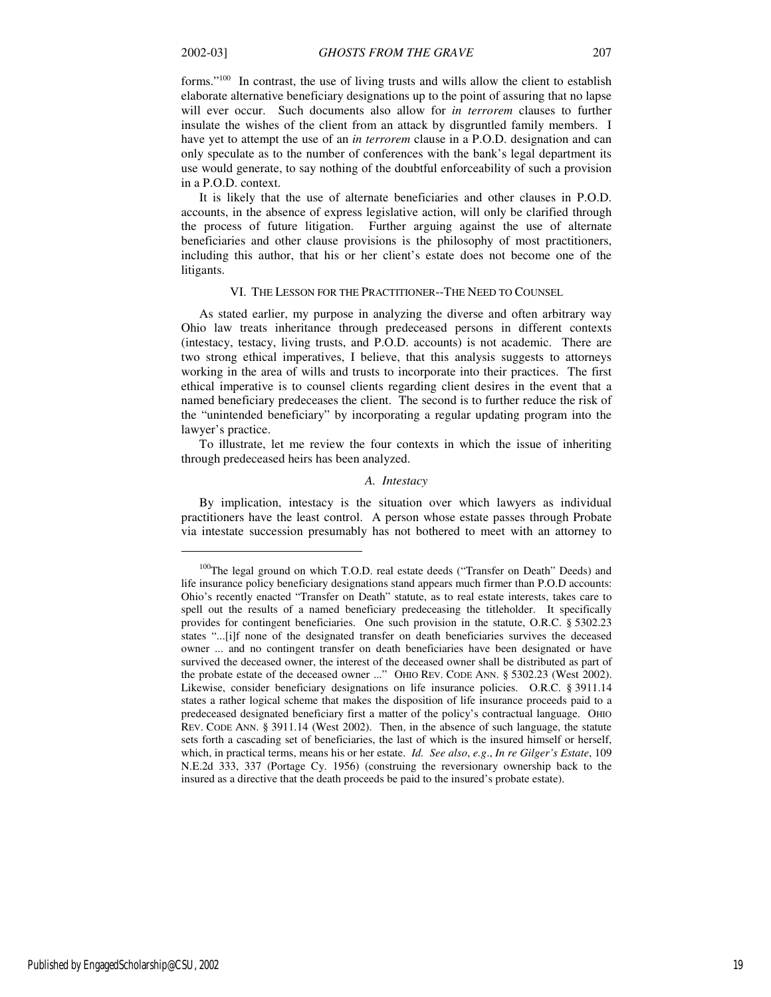$\overline{a}$ 

forms."<sup>100</sup> In contrast, the use of living trusts and wills allow the client to establish elaborate alternative beneficiary designations up to the point of assuring that no lapse will ever occur. Such documents also allow for *in terrorem* clauses to further insulate the wishes of the client from an attack by disgruntled family members. I have yet to attempt the use of an *in terrorem* clause in a P.O.D. designation and can only speculate as to the number of conferences with the bank's legal department its use would generate, to say nothing of the doubtful enforceability of such a provision in a P.O.D. context.

It is likely that the use of alternate beneficiaries and other clauses in P.O.D. accounts, in the absence of express legislative action, will only be clarified through the process of future litigation. Further arguing against the use of alternate beneficiaries and other clause provisions is the philosophy of most practitioners, including this author, that his or her client's estate does not become one of the litigants.

#### VI. THE LESSON FOR THE PRACTITIONER--THE NEED TO COUNSEL

As stated earlier, my purpose in analyzing the diverse and often arbitrary way Ohio law treats inheritance through predeceased persons in different contexts (intestacy, testacy, living trusts, and P.O.D. accounts) is not academic. There are two strong ethical imperatives, I believe, that this analysis suggests to attorneys working in the area of wills and trusts to incorporate into their practices. The first ethical imperative is to counsel clients regarding client desires in the event that a named beneficiary predeceases the client. The second is to further reduce the risk of the "unintended beneficiary" by incorporating a regular updating program into the lawyer's practice.

To illustrate, let me review the four contexts in which the issue of inheriting through predeceased heirs has been analyzed.

#### *A. Intestacy*

By implication, intestacy is the situation over which lawyers as individual practitioners have the least control. A person whose estate passes through Probate via intestate succession presumably has not bothered to meet with an attorney to

<sup>&</sup>lt;sup>100</sup>The legal ground on which T.O.D. real estate deeds ("Transfer on Death" Deeds) and life insurance policy beneficiary designations stand appears much firmer than P.O.D accounts: Ohio's recently enacted "Transfer on Death" statute, as to real estate interests, takes care to spell out the results of a named beneficiary predeceasing the titleholder. It specifically provides for contingent beneficiaries. One such provision in the statute, O.R.C. § 5302.23 states "...[i]f none of the designated transfer on death beneficiaries survives the deceased owner ... and no contingent transfer on death beneficiaries have been designated or have survived the deceased owner, the interest of the deceased owner shall be distributed as part of the probate estate of the deceased owner ..." OHIO REV. CODE ANN. § 5302.23 (West 2002). Likewise, consider beneficiary designations on life insurance policies. O.R.C. § 3911.14 states a rather logical scheme that makes the disposition of life insurance proceeds paid to a predeceased designated beneficiary first a matter of the policy's contractual language. OHIO REV. CODE ANN. § 3911.14 (West 2002). Then, in the absence of such language, the statute sets forth a cascading set of beneficiaries, the last of which is the insured himself or herself, which, in practical terms, means his or her estate. *Id. See also*, *e.g*., *In re Gilger's Estate*, 109 N.E.2d 333, 337 (Portage Cy. 1956) (construing the reversionary ownership back to the insured as a directive that the death proceeds be paid to the insured's probate estate).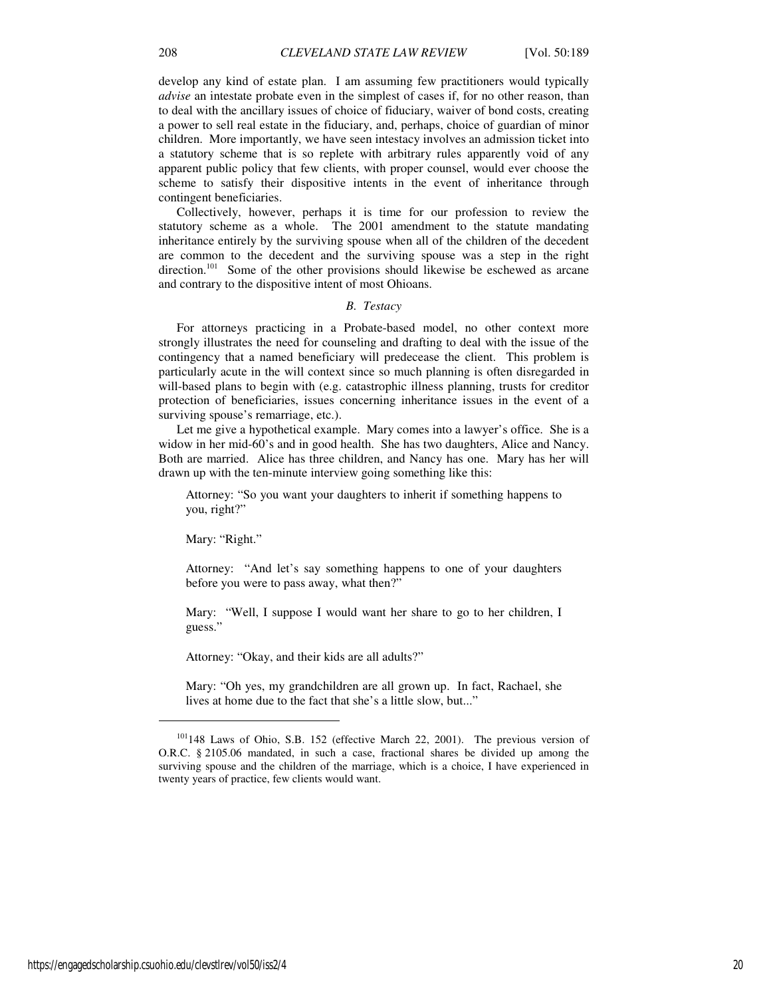develop any kind of estate plan. I am assuming few practitioners would typically *advise* an intestate probate even in the simplest of cases if, for no other reason, than to deal with the ancillary issues of choice of fiduciary, waiver of bond costs, creating a power to sell real estate in the fiduciary, and, perhaps, choice of guardian of minor children. More importantly, we have seen intestacy involves an admission ticket into a statutory scheme that is so replete with arbitrary rules apparently void of any apparent public policy that few clients, with proper counsel, would ever choose the scheme to satisfy their dispositive intents in the event of inheritance through contingent beneficiaries.

Collectively, however, perhaps it is time for our profession to review the statutory scheme as a whole. The 2001 amendment to the statute mandating inheritance entirely by the surviving spouse when all of the children of the decedent are common to the decedent and the surviving spouse was a step in the right direction.<sup>101</sup> Some of the other provisions should likewise be eschewed as arcane and contrary to the dispositive intent of most Ohioans.

#### *B. Testacy*

For attorneys practicing in a Probate-based model, no other context more strongly illustrates the need for counseling and drafting to deal with the issue of the contingency that a named beneficiary will predecease the client. This problem is particularly acute in the will context since so much planning is often disregarded in will-based plans to begin with (e.g. catastrophic illness planning, trusts for creditor protection of beneficiaries, issues concerning inheritance issues in the event of a surviving spouse's remarriage, etc.).

Let me give a hypothetical example. Mary comes into a lawyer's office. She is a widow in her mid-60's and in good health. She has two daughters, Alice and Nancy. Both are married. Alice has three children, and Nancy has one. Mary has her will drawn up with the ten-minute interview going something like this:

Attorney: "So you want your daughters to inherit if something happens to you, right?"

Mary: "Right."

Attorney: "And let's say something happens to one of your daughters before you were to pass away, what then?"

Mary: "Well, I suppose I would want her share to go to her children, I guess."

Attorney: "Okay, and their kids are all adults?"

Mary: "Oh yes, my grandchildren are all grown up. In fact, Rachael, she lives at home due to the fact that she's a little slow, but..."

https://engagedscholarship.csuohio.edu/clevstlrev/vol50/iss2/4 20

<sup>101</sup>148 Laws of Ohio, S.B. 152 (effective March 22, 2001). The previous version of O.R.C. § 2105.06 mandated, in such a case, fractional shares be divided up among the surviving spouse and the children of the marriage, which is a choice, I have experienced in twenty years of practice, few clients would want.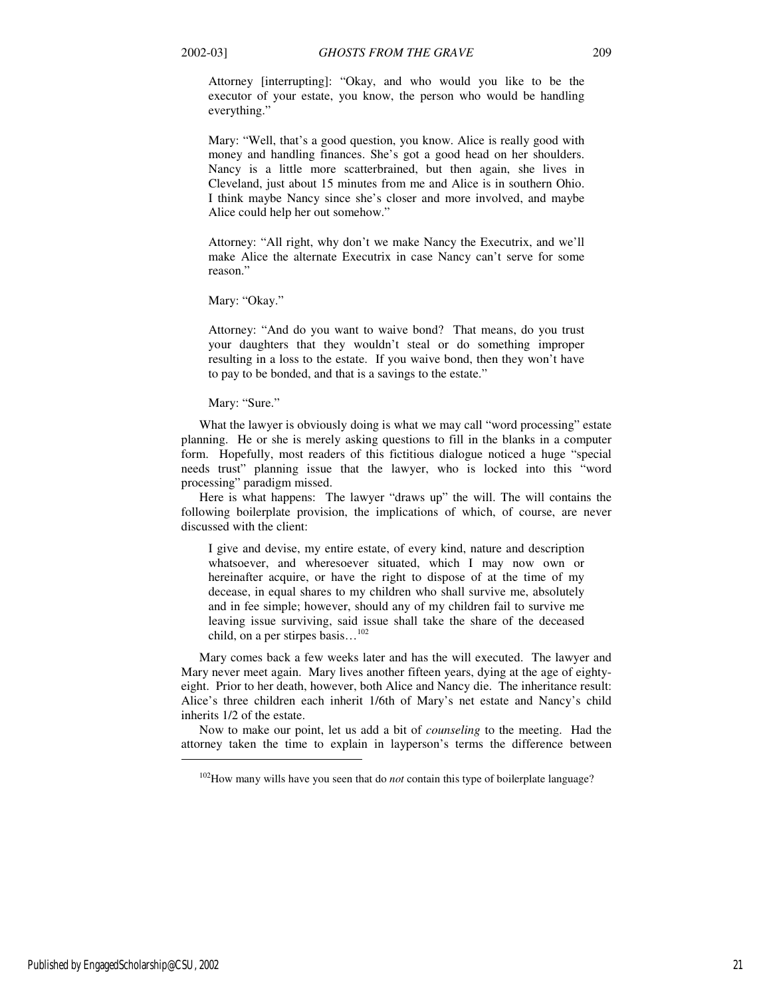Attorney [interrupting]: "Okay, and who would you like to be the executor of your estate, you know, the person who would be handling everything."

Mary: "Well, that's a good question, you know. Alice is really good with money and handling finances. She's got a good head on her shoulders. Nancy is a little more scatterbrained, but then again, she lives in Cleveland, just about 15 minutes from me and Alice is in southern Ohio. I think maybe Nancy since she's closer and more involved, and maybe Alice could help her out somehow."

Attorney: "All right, why don't we make Nancy the Executrix, and we'll make Alice the alternate Executrix in case Nancy can't serve for some reason."

Mary: "Okay."

Attorney: "And do you want to waive bond? That means, do you trust your daughters that they wouldn't steal or do something improper resulting in a loss to the estate. If you waive bond, then they won't have to pay to be bonded, and that is a savings to the estate."

Mary: "Sure."

What the lawyer is obviously doing is what we may call "word processing" estate planning. He or she is merely asking questions to fill in the blanks in a computer form. Hopefully, most readers of this fictitious dialogue noticed a huge "special needs trust" planning issue that the lawyer, who is locked into this "word processing" paradigm missed.

Here is what happens: The lawyer "draws up" the will. The will contains the following boilerplate provision, the implications of which, of course, are never discussed with the client:

I give and devise, my entire estate, of every kind, nature and description whatsoever, and wheresoever situated, which I may now own or hereinafter acquire, or have the right to dispose of at the time of my decease, in equal shares to my children who shall survive me, absolutely and in fee simple; however, should any of my children fail to survive me leaving issue surviving, said issue shall take the share of the deceased child, on a per stirpes basis... $^{102}$ 

Mary comes back a few weeks later and has the will executed. The lawyer and Mary never meet again. Mary lives another fifteen years, dying at the age of eightyeight. Prior to her death, however, both Alice and Nancy die. The inheritance result: Alice's three children each inherit 1/6th of Mary's net estate and Nancy's child inherits 1/2 of the estate.

Now to make our point, let us add a bit of *counseling* to the meeting. Had the attorney taken the time to explain in layperson's terms the difference between

j

<sup>&</sup>lt;sup>102</sup>How many wills have you seen that do *not* contain this type of boilerplate language?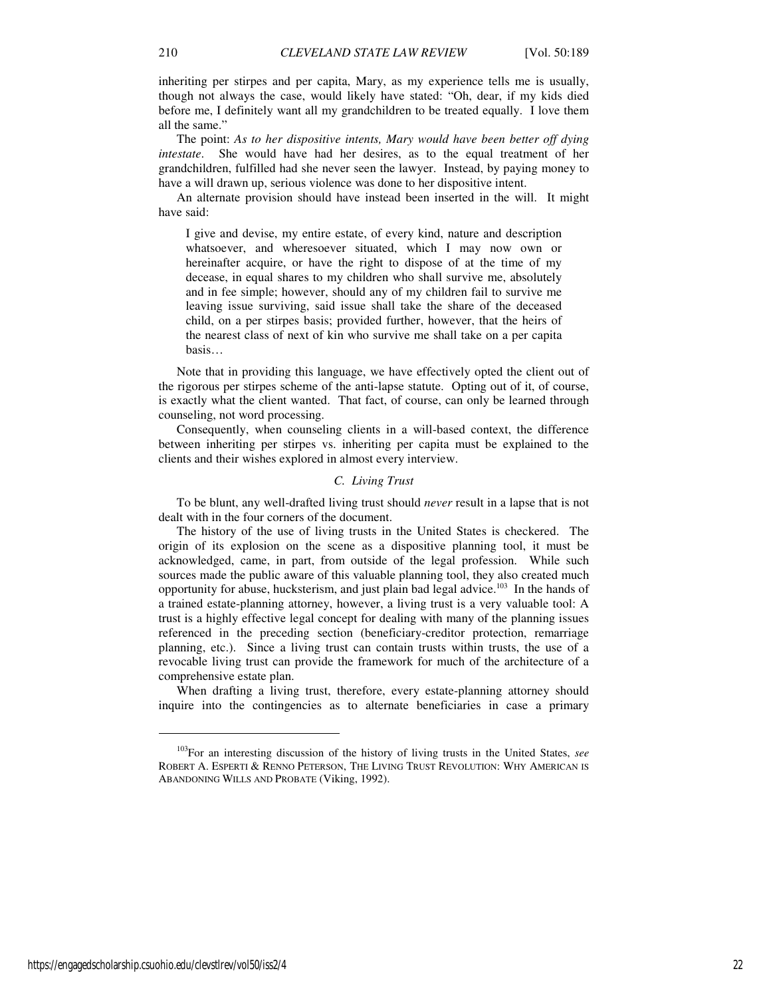inheriting per stirpes and per capita, Mary, as my experience tells me is usually, though not always the case, would likely have stated: "Oh, dear, if my kids died before me, I definitely want all my grandchildren to be treated equally. I love them all the same."

The point: *As to her dispositive intents, Mary would have been better off dying intestate*. She would have had her desires, as to the equal treatment of her grandchildren, fulfilled had she never seen the lawyer. Instead, by paying money to have a will drawn up, serious violence was done to her dispositive intent.

An alternate provision should have instead been inserted in the will. It might have said:

I give and devise, my entire estate, of every kind, nature and description whatsoever, and wheresoever situated, which I may now own or hereinafter acquire, or have the right to dispose of at the time of my decease, in equal shares to my children who shall survive me, absolutely and in fee simple; however, should any of my children fail to survive me leaving issue surviving, said issue shall take the share of the deceased child, on a per stirpes basis; provided further, however, that the heirs of the nearest class of next of kin who survive me shall take on a per capita basis…

Note that in providing this language, we have effectively opted the client out of the rigorous per stirpes scheme of the anti-lapse statute. Opting out of it, of course, is exactly what the client wanted. That fact, of course, can only be learned through counseling, not word processing.

Consequently, when counseling clients in a will-based context, the difference between inheriting per stirpes vs. inheriting per capita must be explained to the clients and their wishes explored in almost every interview.

#### *C. Living Trust*

To be blunt, any well-drafted living trust should *never* result in a lapse that is not dealt with in the four corners of the document.

The history of the use of living trusts in the United States is checkered. The origin of its explosion on the scene as a dispositive planning tool, it must be acknowledged, came, in part, from outside of the legal profession. While such sources made the public aware of this valuable planning tool, they also created much opportunity for abuse, hucksterism, and just plain bad legal advice.<sup>103</sup> In the hands of a trained estate-planning attorney, however, a living trust is a very valuable tool: A trust is a highly effective legal concept for dealing with many of the planning issues referenced in the preceding section (beneficiary-creditor protection, remarriage planning, etc.). Since a living trust can contain trusts within trusts, the use of a revocable living trust can provide the framework for much of the architecture of a comprehensive estate plan.

When drafting a living trust, therefore, every estate-planning attorney should inquire into the contingencies as to alternate beneficiaries in case a primary

<sup>103</sup>For an interesting discussion of the history of living trusts in the United States, *see* ROBERT A. ESPERTI & RENNO PETERSON, THE LIVING TRUST REVOLUTION: WHY AMERICAN IS ABANDONING WILLS AND PROBATE (Viking, 1992).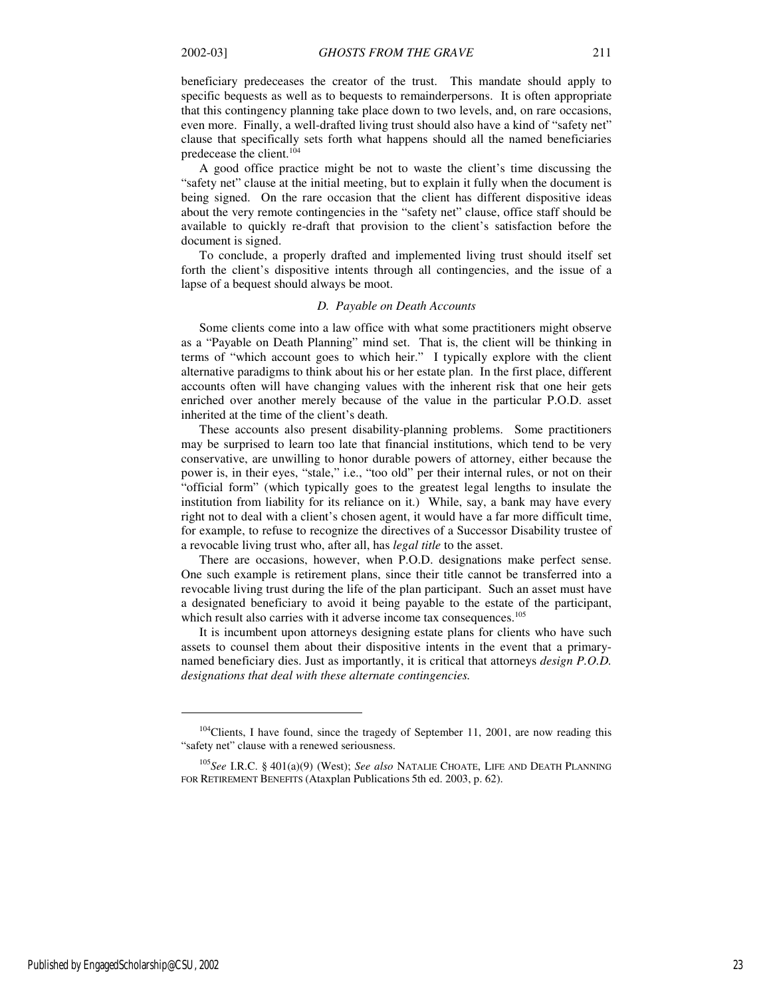beneficiary predeceases the creator of the trust. This mandate should apply to specific bequests as well as to bequests to remainderpersons. It is often appropriate that this contingency planning take place down to two levels, and, on rare occasions, even more. Finally, a well-drafted living trust should also have a kind of "safety net" clause that specifically sets forth what happens should all the named beneficiaries predecease the client.<sup>104</sup>

A good office practice might be not to waste the client's time discussing the "safety net" clause at the initial meeting, but to explain it fully when the document is being signed. On the rare occasion that the client has different dispositive ideas about the very remote contingencies in the "safety net" clause, office staff should be available to quickly re-draft that provision to the client's satisfaction before the document is signed.

To conclude, a properly drafted and implemented living trust should itself set forth the client's dispositive intents through all contingencies, and the issue of a lapse of a bequest should always be moot.

#### *D. Payable on Death Accounts*

Some clients come into a law office with what some practitioners might observe as a "Payable on Death Planning" mind set. That is, the client will be thinking in terms of "which account goes to which heir." I typically explore with the client alternative paradigms to think about his or her estate plan. In the first place, different accounts often will have changing values with the inherent risk that one heir gets enriched over another merely because of the value in the particular P.O.D. asset inherited at the time of the client's death.

These accounts also present disability-planning problems. Some practitioners may be surprised to learn too late that financial institutions, which tend to be very conservative, are unwilling to honor durable powers of attorney, either because the power is, in their eyes, "stale," i.e., "too old" per their internal rules, or not on their "official form" (which typically goes to the greatest legal lengths to insulate the institution from liability for its reliance on it.) While, say, a bank may have every right not to deal with a client's chosen agent, it would have a far more difficult time, for example, to refuse to recognize the directives of a Successor Disability trustee of a revocable living trust who, after all, has *legal title* to the asset.

There are occasions, however, when P.O.D. designations make perfect sense. One such example is retirement plans, since their title cannot be transferred into a revocable living trust during the life of the plan participant. Such an asset must have a designated beneficiary to avoid it being payable to the estate of the participant, which result also carries with it adverse income tax consequences.<sup>105</sup>

It is incumbent upon attorneys designing estate plans for clients who have such assets to counsel them about their dispositive intents in the event that a primarynamed beneficiary dies. Just as importantly, it is critical that attorneys *design P.O.D. designations that deal with these alternate contingencies.*

j

<sup>&</sup>lt;sup>104</sup>Clients, I have found, since the tragedy of September 11, 2001, are now reading this "safety net" clause with a renewed seriousness.

<sup>105</sup>*See* I.R.C. § 401(a)(9) (West); *See also* NATALIE CHOATE, LIFE AND DEATH PLANNING FOR RETIREMENT BENEFITS (Ataxplan Publications 5th ed. 2003, p. 62).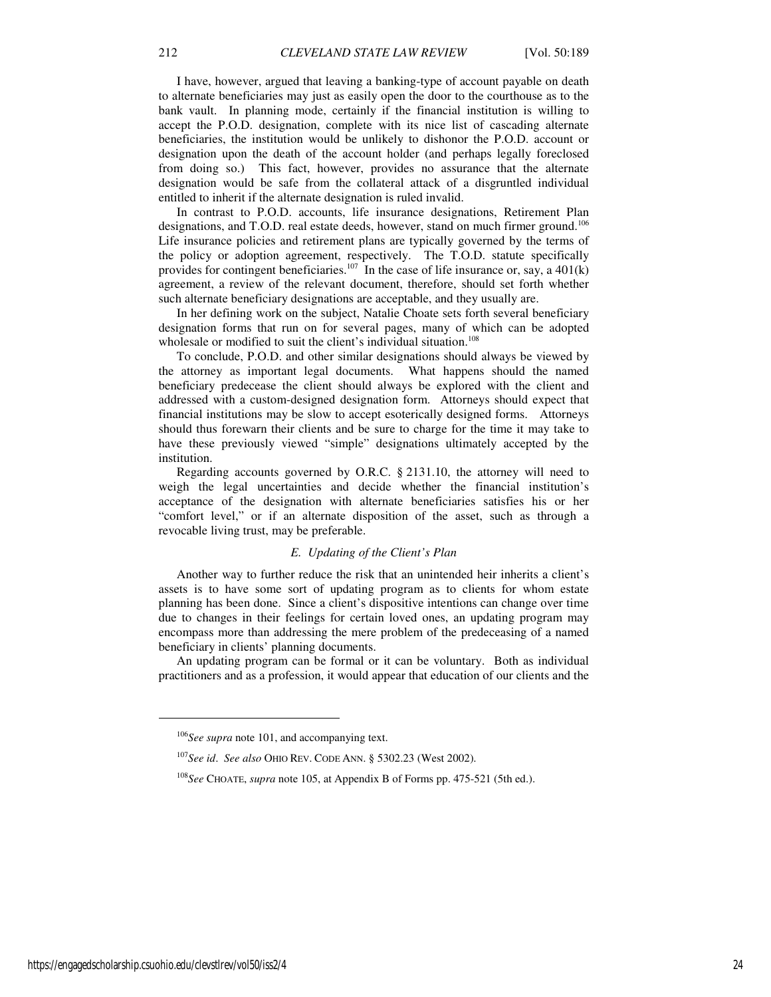I have, however, argued that leaving a banking-type of account payable on death to alternate beneficiaries may just as easily open the door to the courthouse as to the bank vault. In planning mode, certainly if the financial institution is willing to accept the P.O.D. designation, complete with its nice list of cascading alternate beneficiaries, the institution would be unlikely to dishonor the P.O.D. account or designation upon the death of the account holder (and perhaps legally foreclosed from doing so.) This fact, however, provides no assurance that the alternate designation would be safe from the collateral attack of a disgruntled individual entitled to inherit if the alternate designation is ruled invalid.

In contrast to P.O.D. accounts, life insurance designations, Retirement Plan designations, and T.O.D. real estate deeds, however, stand on much firmer ground.<sup>106</sup> Life insurance policies and retirement plans are typically governed by the terms of the policy or adoption agreement, respectively. The T.O.D. statute specifically provides for contingent beneficiaries.<sup>107</sup> In the case of life insurance or, say, a 401(k) agreement, a review of the relevant document, therefore, should set forth whether such alternate beneficiary designations are acceptable, and they usually are.

In her defining work on the subject, Natalie Choate sets forth several beneficiary designation forms that run on for several pages, many of which can be adopted wholesale or modified to suit the client's individual situation.<sup>108</sup>

To conclude, P.O.D. and other similar designations should always be viewed by the attorney as important legal documents. What happens should the named beneficiary predecease the client should always be explored with the client and addressed with a custom-designed designation form. Attorneys should expect that financial institutions may be slow to accept esoterically designed forms. Attorneys should thus forewarn their clients and be sure to charge for the time it may take to have these previously viewed "simple" designations ultimately accepted by the institution.

Regarding accounts governed by O.R.C. § 2131.10, the attorney will need to weigh the legal uncertainties and decide whether the financial institution's acceptance of the designation with alternate beneficiaries satisfies his or her "comfort level," or if an alternate disposition of the asset, such as through a revocable living trust, may be preferable.

#### *E. Updating of the Client's Plan*

Another way to further reduce the risk that an unintended heir inherits a client's assets is to have some sort of updating program as to clients for whom estate planning has been done. Since a client's dispositive intentions can change over time due to changes in their feelings for certain loved ones, an updating program may encompass more than addressing the mere problem of the predeceasing of a named beneficiary in clients' planning documents.

An updating program can be formal or it can be voluntary. Both as individual practitioners and as a profession, it would appear that education of our clients and the

<sup>106</sup>*See supra* note 101, and accompanying text.

<sup>107</sup>*See id*. *See also* OHIO REV. CODE ANN. § 5302.23 (West 2002).

<sup>108</sup>*See* CHOATE, *supra* note 105, at Appendix B of Forms pp. 475-521 (5th ed.).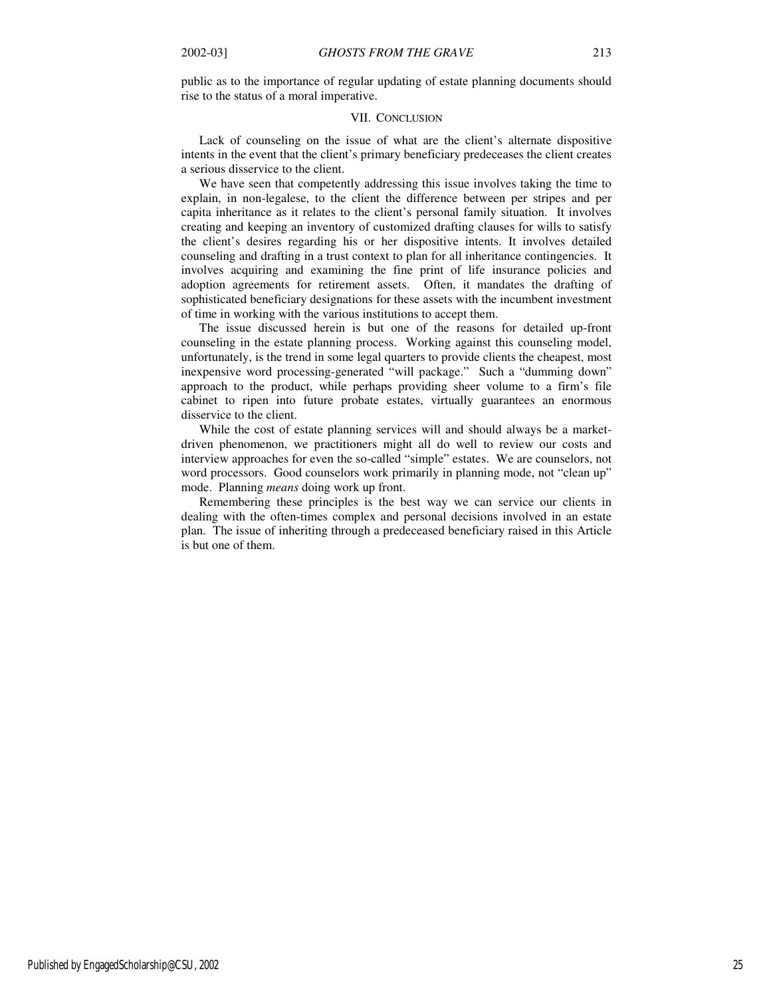public as to the importance of regular updating of estate planning documents should rise to the status of a moral imperative.

### VII. CONCLUSION

Lack of counseling on the issue of what are the client's alternate dispositive intents in the event that the client's primary beneficiary predeceases the client creates a serious disservice to the client.

We have seen that competently addressing this issue involves taking the time to explain, in non-legalese, to the client the difference between per stripes and per capita inheritance as it relates to the client's personal family situation. It involves creating and keeping an inventory of customized drafting clauses for wills to satisfy the client's desires regarding his or her dispositive intents. It involves detailed counseling and drafting in a trust context to plan for all inheritance contingencies. It involves acquiring and examining the fine print of life insurance policies and adoption agreements for retirement assets. Often, it mandates the drafting of sophisticated beneficiary designations for these assets with the incumbent investment of time in working with the various institutions to accept them.

The issue discussed herein is but one of the reasons for detailed up-front counseling in the estate planning process. Working against this counseling model, unfortunately, is the trend in some legal quarters to provide clients the cheapest, most inexpensive word processing-generated "will package." Such a "dumming down" approach to the product, while perhaps providing sheer volume to a firm's file cabinet to ripen into future probate estates, virtually guarantees an enormous disservice to the client.

While the cost of estate planning services will and should always be a marketdriven phenomenon, we practitioners might all do well to review our costs and interview approaches for even the so-called "simple" estates. We are counselors, not word processors. Good counselors work primarily in planning mode, not "clean up" mode. Planning *means* doing work up front.

Remembering these principles is the best way we can service our clients in dealing with the often-times complex and personal decisions involved in an estate plan. The issue of inheriting through a predeceased beneficiary raised in this Article is but one of them.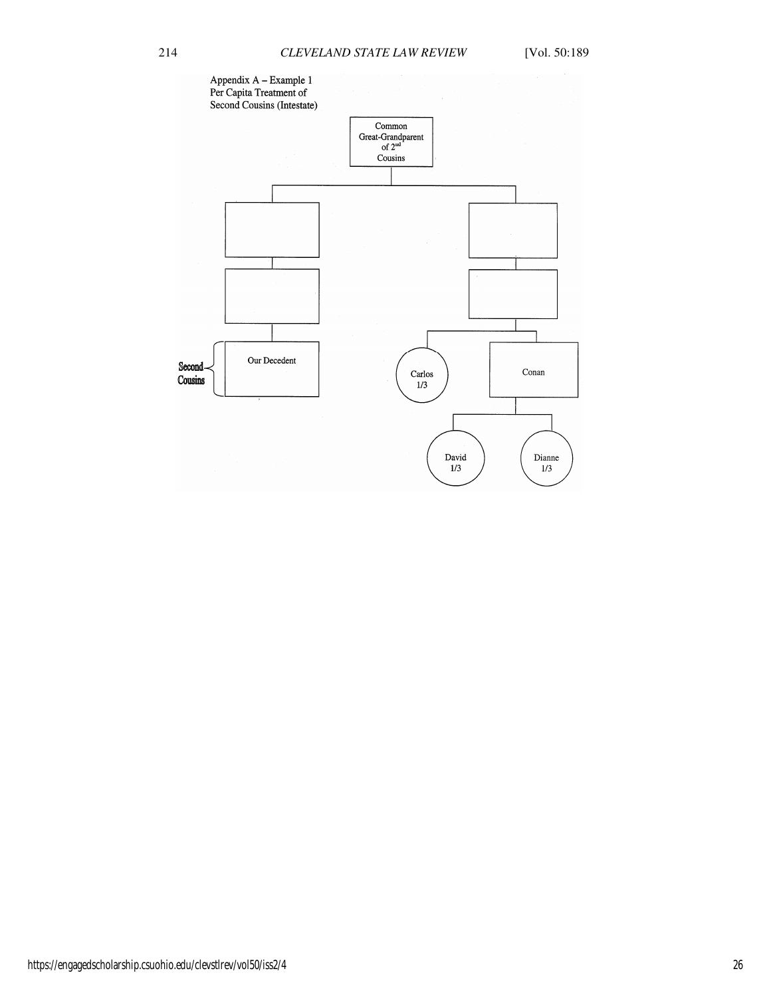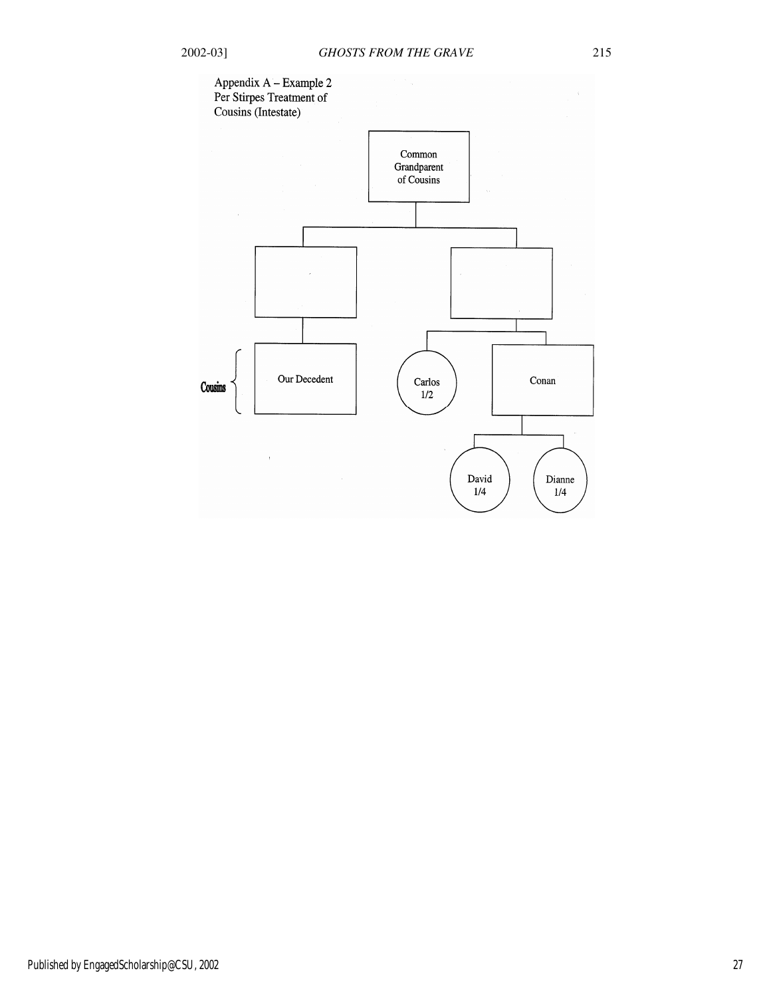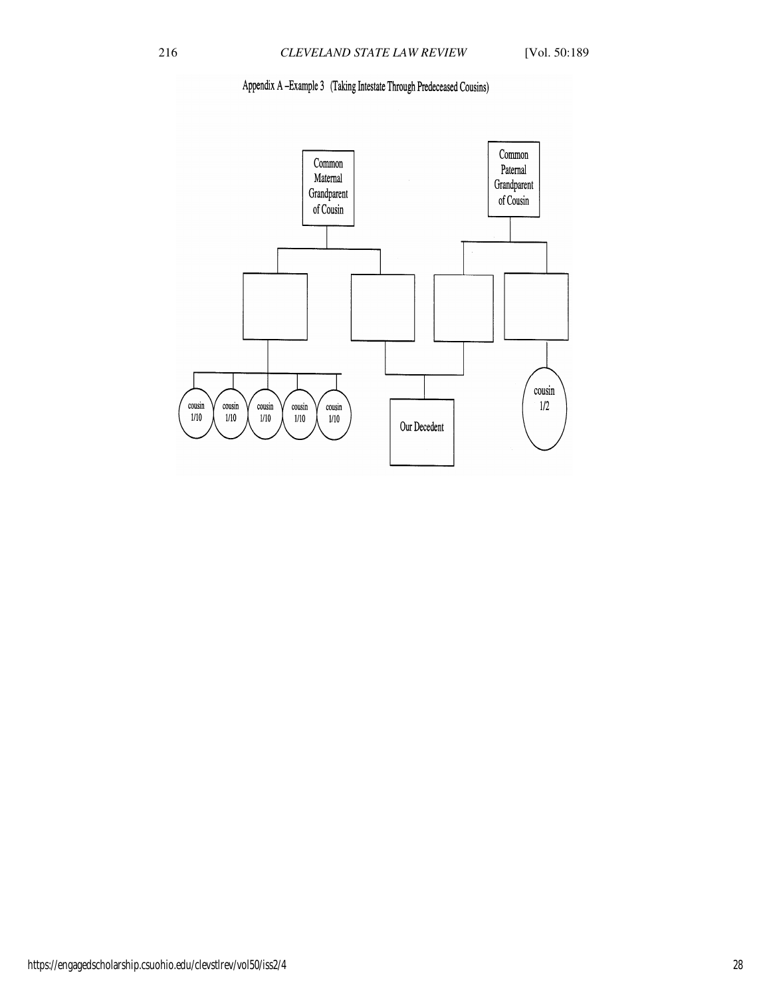# Appendix A-Example 3 (Taking Intestate Through Predeceased Cousins)

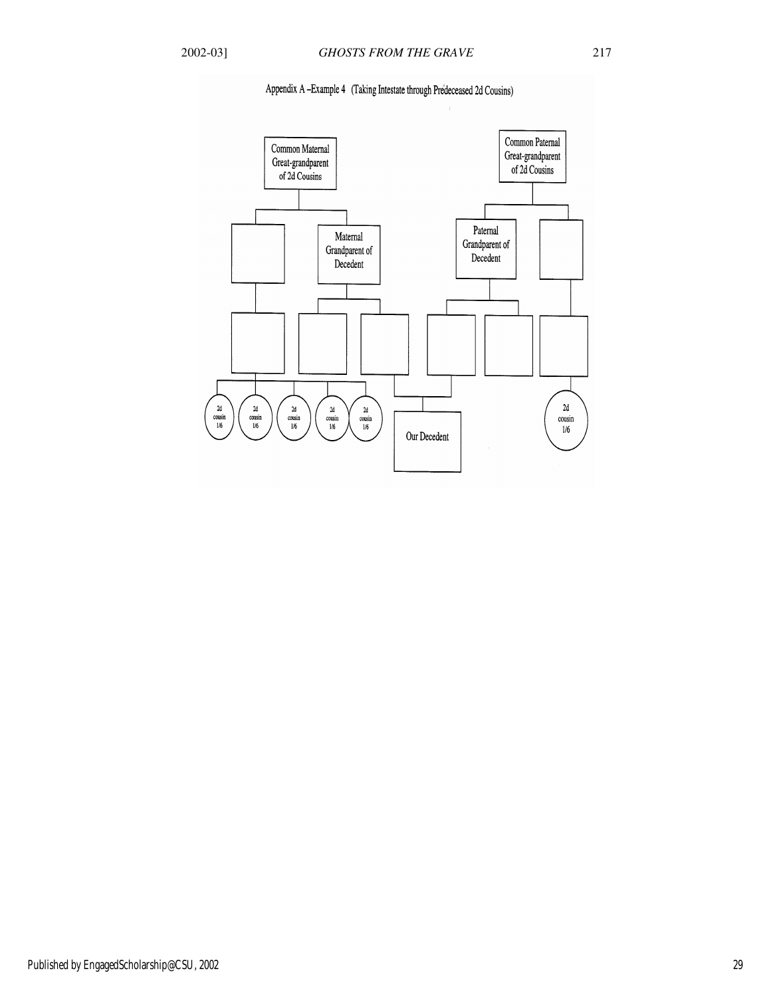

# Appendix A -Example 4 (Taking Intestate through Predeceased 2d Cousins)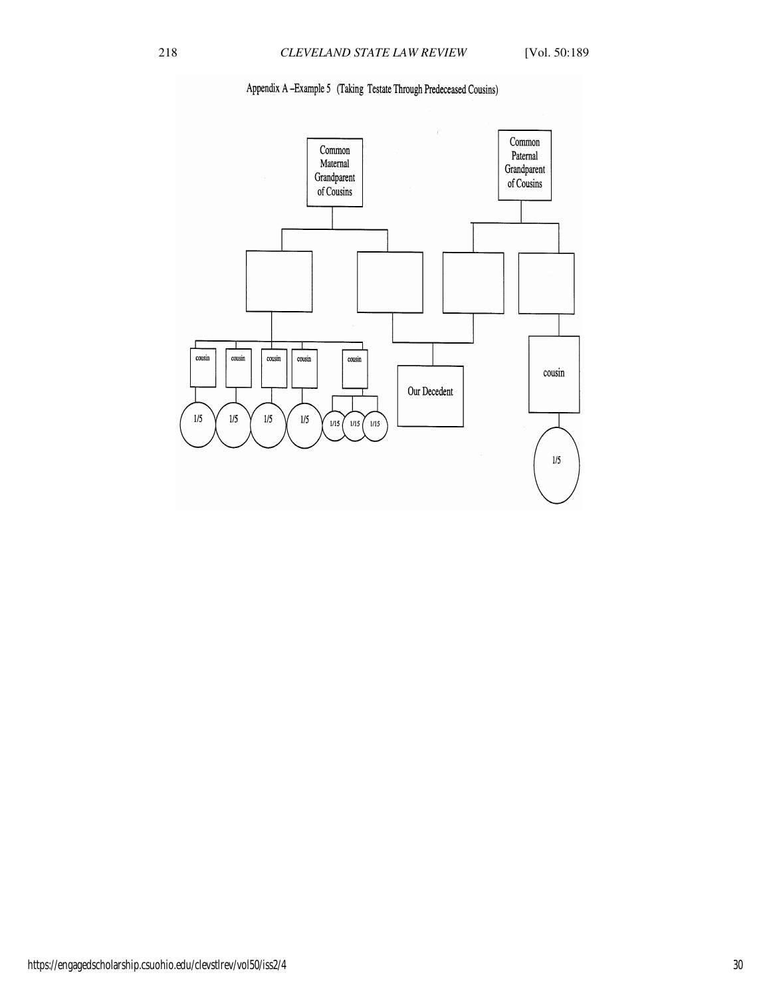